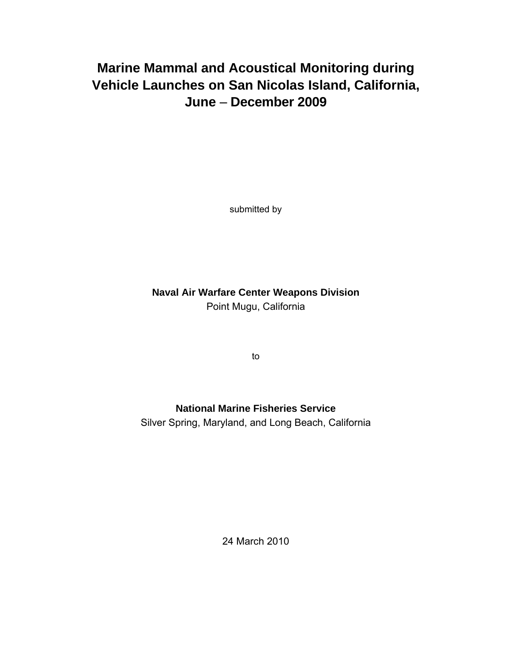# **Marine Mammal and Acoustical Monitoring during Vehicle Launches on San Nicolas Island, California, June** – **December 2009**

submitted by

**Naval Air Warfare Center Weapons Division**  Point Mugu, California

to

## **National Marine Fisheries Service**

Silver Spring, Maryland, and Long Beach, California

24 March 2010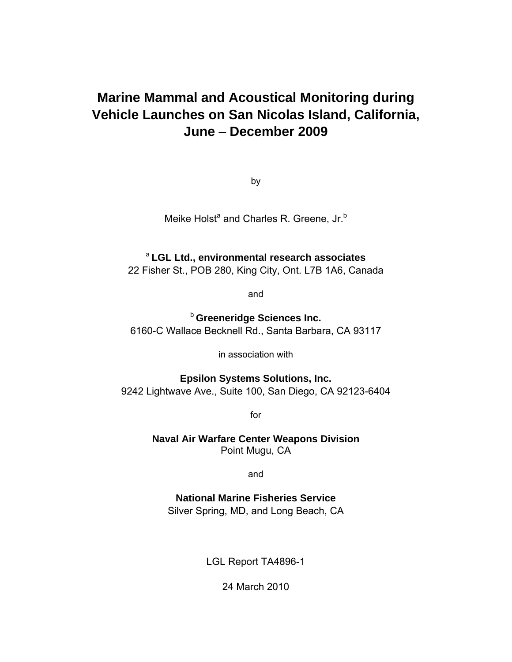# **Marine Mammal and Acoustical Monitoring during Vehicle Launches on San Nicolas Island, California, June** – **December 2009**

by

Meike Holst<sup>a</sup> and Charles R. Greene, Jr.<sup>b</sup>

## <sup>a</sup>**LGL Ltd., environmental research associates**

22 Fisher St., POB 280, King City, Ont. L7B 1A6, Canada

and

**b** Greeneridge Sciences Inc. 6160-C Wallace Becknell Rd., Santa Barbara, CA 93117

in association with

**Epsilon Systems Solutions, Inc.**  9242 Lightwave Ave., Suite 100, San Diego, CA 92123-6404

for

**Naval Air Warfare Center Weapons Division**  Point Mugu, CA

and

**National Marine Fisheries Service** Silver Spring, MD, and Long Beach, CA

LGL Report TA4896-1

24 March 2010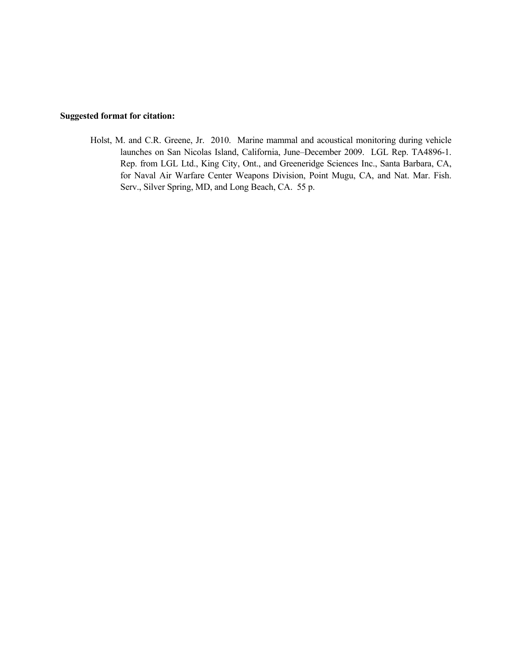## **Suggested format for citation:**

Holst, M. and C.R. Greene, Jr. 2010. Marine mammal and acoustical monitoring during vehicle launches on San Nicolas Island, California, June–December 2009. LGL Rep. TA4896-1. Rep. from LGL Ltd., King City, Ont., and Greeneridge Sciences Inc., Santa Barbara, CA, for Naval Air Warfare Center Weapons Division, Point Mugu, CA, and Nat. Mar. Fish. Serv., Silver Spring, MD, and Long Beach, CA. 55 p.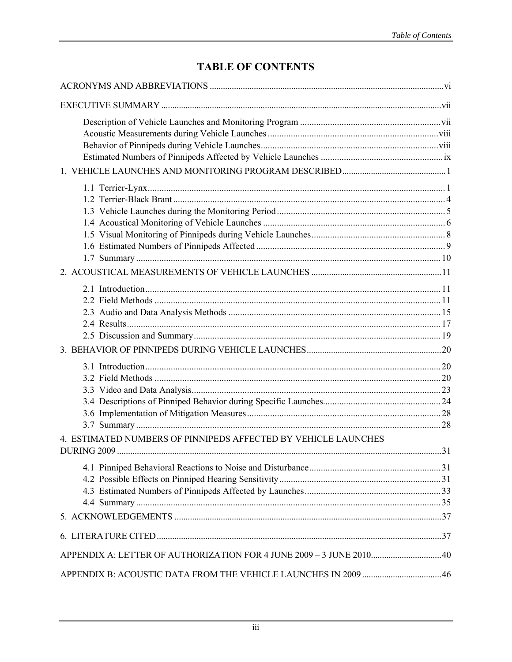## **TABLE OF CONTENTS**

| 4. ESTIMATED NUMBERS OF PINNIPEDS AFFECTED BY VEHICLE LAUNCHES      |  |
|---------------------------------------------------------------------|--|
|                                                                     |  |
|                                                                     |  |
|                                                                     |  |
|                                                                     |  |
|                                                                     |  |
|                                                                     |  |
|                                                                     |  |
| APPENDIX A: LETTER OF AUTHORIZATION FOR 4 JUNE 2009 - 3 JUNE 201040 |  |
|                                                                     |  |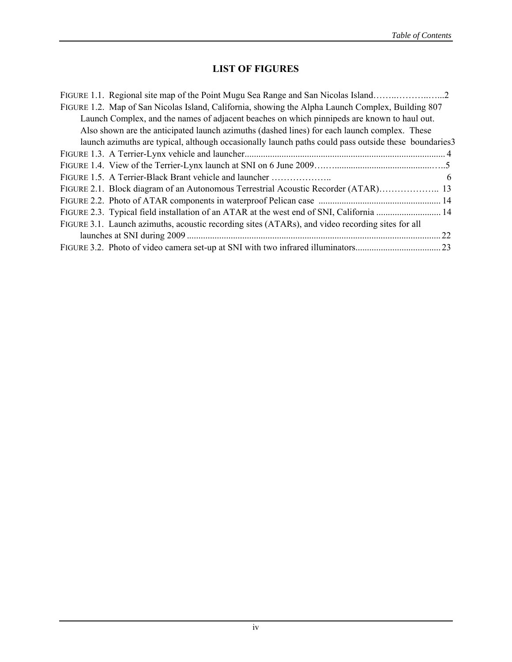## **LIST OF FIGURES**

| FIGURE 1.2. Map of San Nicolas Island, California, showing the Alpha Launch Complex, Building 807    |    |
|------------------------------------------------------------------------------------------------------|----|
| Launch Complex, and the names of adjacent beaches on which pinnipeds are known to haul out.          |    |
| Also shown are the anticipated launch azimuths (dashed lines) for each launch complex. These         |    |
| launch azimuths are typical, although occasionally launch paths could pass outside these boundaries3 |    |
|                                                                                                      |    |
|                                                                                                      |    |
|                                                                                                      | 6  |
|                                                                                                      |    |
|                                                                                                      |    |
|                                                                                                      |    |
| FIGURE 3.1. Launch azimuths, acoustic recording sites (ATARs), and video recording sites for all     |    |
|                                                                                                      | 22 |
|                                                                                                      |    |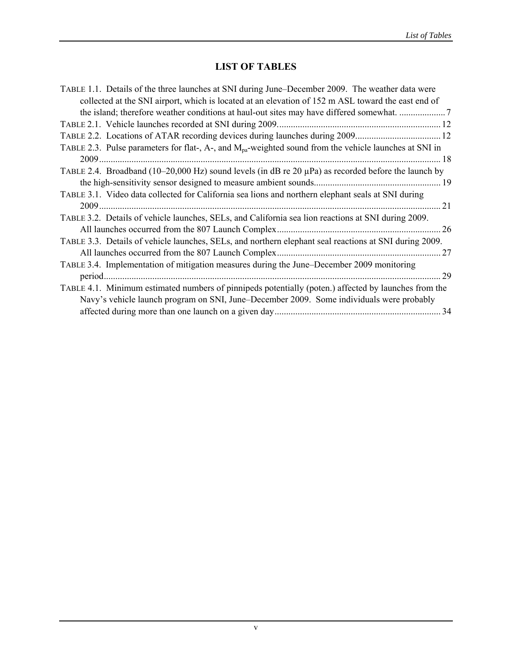## **LIST OF TABLES**

| TABLE 1.1. Details of the three launches at SNI during June–December 2009. The weather data were                   |    |
|--------------------------------------------------------------------------------------------------------------------|----|
| collected at the SNI airport, which is located at an elevation of 152 m ASL toward the east end of                 |    |
|                                                                                                                    |    |
|                                                                                                                    |    |
|                                                                                                                    |    |
| TABLE 2.3. Pulse parameters for flat-, A-, and M <sub>pa</sub> -weighted sound from the vehicle launches at SNI in |    |
|                                                                                                                    |    |
| TABLE 2.4. Broadband (10–20,000 Hz) sound levels (in dB re 20 $\mu$ Pa) as recorded before the launch by           |    |
|                                                                                                                    |    |
| TABLE 3.1. Video data collected for California sea lions and northern elephant seals at SNI during                 |    |
|                                                                                                                    |    |
| TABLE 3.2. Details of vehicle launches, SELs, and California sea lion reactions at SNI during 2009.                |    |
|                                                                                                                    |    |
| TABLE 3.3. Details of vehicle launches, SELs, and northern elephant seal reactions at SNI during 2009.             |    |
|                                                                                                                    | 27 |
| TABLE 3.4. Implementation of mitigation measures during the June–December 2009 monitoring                          |    |
| 29                                                                                                                 |    |
| TABLE 4.1. Minimum estimated numbers of pinnipeds potentially (poten.) affected by launches from the               |    |
| Navy's vehicle launch program on SNI, June–December 2009. Some individuals were probably                           |    |
|                                                                                                                    |    |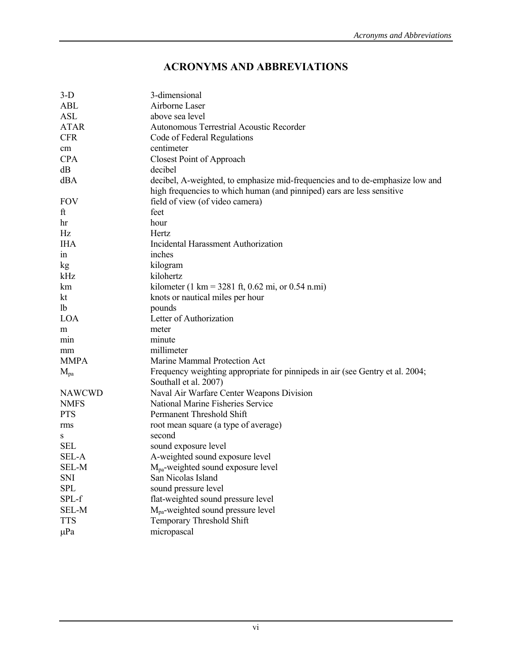## **ACRONYMS AND ABBREVIATIONS**

| $3-D$         | 3-dimensional                                                                 |
|---------------|-------------------------------------------------------------------------------|
| <b>ABL</b>    | Airborne Laser                                                                |
| <b>ASL</b>    | above sea level                                                               |
| <b>ATAR</b>   | Autonomous Terrestrial Acoustic Recorder                                      |
| <b>CFR</b>    | Code of Federal Regulations                                                   |
| cm            | centimeter                                                                    |
| <b>CPA</b>    | <b>Closest Point of Approach</b>                                              |
| dB            | decibel                                                                       |
| dBA           | decibel, A-weighted, to emphasize mid-frequencies and to de-emphasize low and |
|               | high frequencies to which human (and pinniped) ears are less sensitive        |
| <b>FOV</b>    | field of view (of video camera)                                               |
| ft            | feet                                                                          |
| hr            | hour                                                                          |
| Hz            | Hertz                                                                         |
| <b>IHA</b>    | <b>Incidental Harassment Authorization</b>                                    |
| 1n            | inches                                                                        |
| kg            | kilogram                                                                      |
| kHz           | kilohertz                                                                     |
| km            | kilometer (1 km = 3281 ft, 0.62 mi, or 0.54 n.mi)                             |
| kt            | knots or nautical miles per hour                                              |
| <sup>1</sup>  | pounds                                                                        |
| <b>LOA</b>    | Letter of Authorization                                                       |
| m             | meter                                                                         |
| min           | minute                                                                        |
| mm            | millimeter                                                                    |
| <b>MMPA</b>   | Marine Mammal Protection Act                                                  |
| $M_{pa}$      | Frequency weighting appropriate for pinnipeds in air (see Gentry et al. 2004; |
|               | Southall et al. 2007)                                                         |
| <b>NAWCWD</b> | Naval Air Warfare Center Weapons Division                                     |
| <b>NMFS</b>   | National Marine Fisheries Service                                             |
| <b>PTS</b>    | Permanent Threshold Shift                                                     |
| rms           | root mean square (a type of average)                                          |
| S             | second                                                                        |
| <b>SEL</b>    | sound exposure level                                                          |
| <b>SEL-A</b>  | A-weighted sound exposure level                                               |
| SEL-M         | $M_{pa}$ -weighted sound exposure level                                       |
| SNI           | San Nicolas Island                                                            |
| <b>SPL</b>    | sound pressure level                                                          |
| SPL-f         | flat-weighted sound pressure level                                            |
| <b>SEL-M</b>  | M <sub>pa</sub> -weighted sound pressure level                                |
| <b>TTS</b>    | Temporary Threshold Shift                                                     |
| $\mu$ Pa      | micropascal                                                                   |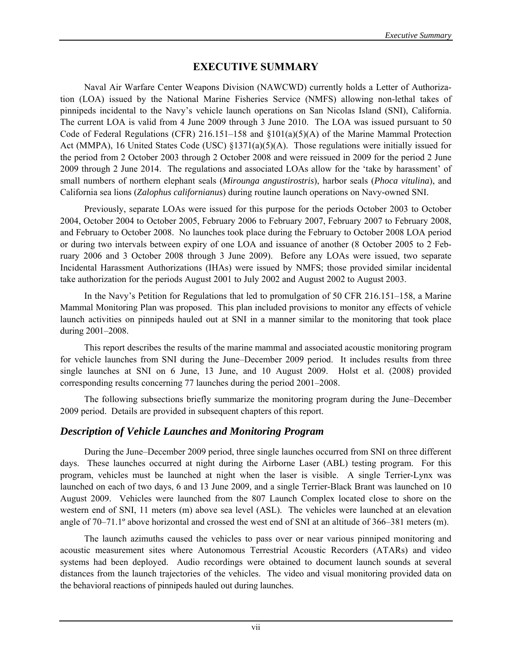## **EXECUTIVE SUMMARY**

Naval Air Warfare Center Weapons Division (NAWCWD) currently holds a Letter of Authorization (LOA) issued by the National Marine Fisheries Service (NMFS) allowing non-lethal takes of pinnipeds incidental to the Navy's vehicle launch operations on San Nicolas Island (SNI), California. The current LOA is valid from 4 June 2009 through 3 June 2010. The LOA was issued pursuant to 50 Code of Federal Regulations (CFR) 216.151–158 and §101(a)(5)(A) of the Marine Mammal Protection Act (MMPA), 16 United States Code (USC) §1371(a)(5)(A). Those regulations were initially issued for the period from 2 October 2003 through 2 October 2008 and were reissued in 2009 for the period 2 June 2009 through 2 June 2014. The regulations and associated LOAs allow for the 'take by harassment' of small numbers of northern elephant seals (*Mirounga angustirostris*), harbor seals (*Phoca vitulina*), and California sea lions (*Zalophus californianus*) during routine launch operations on Navy-owned SNI.

Previously, separate LOAs were issued for this purpose for the periods October 2003 to October 2004, October 2004 to October 2005, February 2006 to February 2007, February 2007 to February 2008, and February to October 2008. No launches took place during the February to October 2008 LOA period or during two intervals between expiry of one LOA and issuance of another (8 October 2005 to 2 February 2006 and 3 October 2008 through 3 June 2009). Before any LOAs were issued, two separate Incidental Harassment Authorizations (IHAs) were issued by NMFS; those provided similar incidental take authorization for the periods August 2001 to July 2002 and August 2002 to August 2003.

In the Navy's Petition for Regulations that led to promulgation of 50 CFR 216.151–158, a Marine Mammal Monitoring Plan was proposed. This plan included provisions to monitor any effects of vehicle launch activities on pinnipeds hauled out at SNI in a manner similar to the monitoring that took place during 2001–2008.

This report describes the results of the marine mammal and associated acoustic monitoring program for vehicle launches from SNI during the June–December 2009 period. It includes results from three single launches at SNI on 6 June, 13 June, and 10 August 2009. Holst et al. (2008) provided corresponding results concerning 77 launches during the period 2001–2008.

The following subsections briefly summarize the monitoring program during the June–December 2009 period. Details are provided in subsequent chapters of this report.

## *Description of Vehicle Launches and Monitoring Program*

During the June–December 2009 period, three single launches occurred from SNI on three different days. These launches occurred at night during the Airborne Laser (ABL) testing program. For this program, vehicles must be launched at night when the laser is visible. A single Terrier-Lynx was launched on each of two days, 6 and 13 June 2009, and a single Terrier-Black Brant was launched on 10 August 2009. Vehicles were launched from the 807 Launch Complex located close to shore on the western end of SNI, 11 meters (m) above sea level (ASL). The vehicles were launched at an elevation angle of 70–71.1º above horizontal and crossed the west end of SNI at an altitude of 366–381 meters (m).

The launch azimuths caused the vehicles to pass over or near various pinniped monitoring and acoustic measurement sites where Autonomous Terrestrial Acoustic Recorders (ATARs) and video systems had been deployed. Audio recordings were obtained to document launch sounds at several distances from the launch trajectories of the vehicles. The video and visual monitoring provided data on the behavioral reactions of pinnipeds hauled out during launches.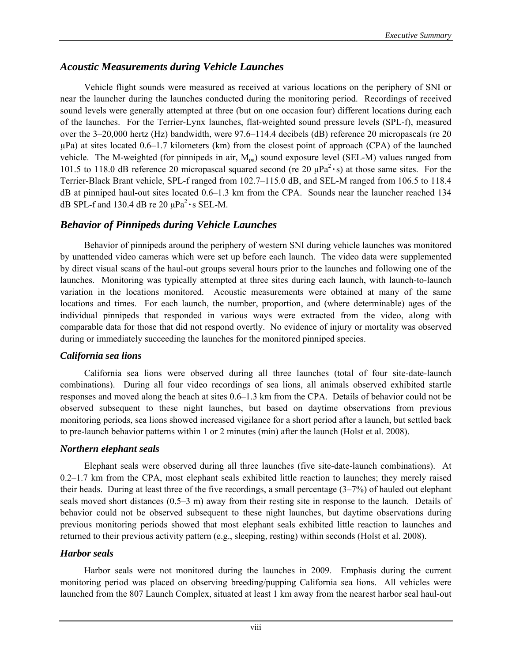## *Acoustic Measurements during Vehicle Launches*

Vehicle flight sounds were measured as received at various locations on the periphery of SNI or near the launcher during the launches conducted during the monitoring period. Recordings of received sound levels were generally attempted at three (but on one occasion four) different locations during each of the launches. For the Terrier-Lynx launches, flat-weighted sound pressure levels (SPL-f), measured over the 3–20,000 hertz (Hz) bandwidth, were 97.6–114.4 decibels (dB) reference 20 micropascals (re 20 µPa) at sites located 0.6–1.7 kilometers (km) from the closest point of approach (CPA) of the launched vehicle. The M-weighted (for pinnipeds in air,  $M_{pa}$ ) sound exposure level (SEL-M) values ranged from 101.5 to 118.0 dB reference 20 micropascal squared second (re  $20 \mu Pa^2 \cdot s$ ) at those same sites. For the Terrier-Black Brant vehicle, SPL-f ranged from 102.7–115.0 dB, and SEL-M ranged from 106.5 to 118.4 dB at pinniped haul-out sites located 0.6–1.3 km from the CPA. Sounds near the launcher reached 134 dB SPL-f and 130.4 dB re 20 μPa2 **·**s SEL-M.

## *Behavior of Pinnipeds during Vehicle Launches*

Behavior of pinnipeds around the periphery of western SNI during vehicle launches was monitored by unattended video cameras which were set up before each launch. The video data were supplemented by direct visual scans of the haul-out groups several hours prior to the launches and following one of the launches. Monitoring was typically attempted at three sites during each launch, with launch-to-launch variation in the locations monitored. Acoustic measurements were obtained at many of the same locations and times. For each launch, the number, proportion, and (where determinable) ages of the individual pinnipeds that responded in various ways were extracted from the video, along with comparable data for those that did not respond overtly. No evidence of injury or mortality was observed during or immediately succeeding the launches for the monitored pinniped species.

## *California sea lions*

California sea lions were observed during all three launches (total of four site-date-launch combinations). During all four video recordings of sea lions, all animals observed exhibited startle responses and moved along the beach at sites 0.6–1.3 km from the CPA. Details of behavior could not be observed subsequent to these night launches, but based on daytime observations from previous monitoring periods, sea lions showed increased vigilance for a short period after a launch, but settled back to pre-launch behavior patterns within 1 or 2 minutes (min) after the launch (Holst et al. 2008).

## *Northern elephant seals*

 Elephant seals were observed during all three launches (five site-date-launch combinations). At 0.2–1.7 km from the CPA, most elephant seals exhibited little reaction to launches; they merely raised their heads. During at least three of the five recordings, a small percentage (3–7%) of hauled out elephant seals moved short distances (0.5–3 m) away from their resting site in response to the launch. Details of behavior could not be observed subsequent to these night launches, but daytime observations during previous monitoring periods showed that most elephant seals exhibited little reaction to launches and returned to their previous activity pattern (e.g., sleeping, resting) within seconds (Holst et al. 2008).

## *Harbor seals*

 Harbor seals were not monitored during the launches in 2009. Emphasis during the current monitoring period was placed on observing breeding/pupping California sea lions. All vehicles were launched from the 807 Launch Complex, situated at least 1 km away from the nearest harbor seal haul-out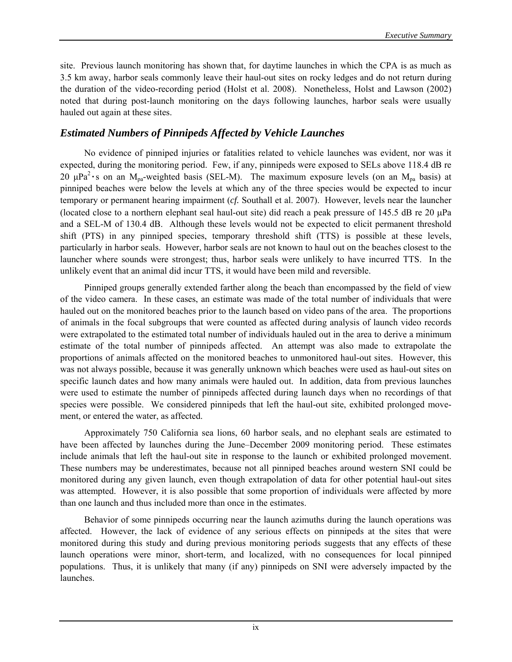site. Previous launch monitoring has shown that, for daytime launches in which the CPA is as much as 3.5 km away, harbor seals commonly leave their haul-out sites on rocky ledges and do not return during the duration of the video-recording period (Holst et al. 2008).Nonetheless, Holst and Lawson (2002) noted that during post-launch monitoring on the days following launches, harbor seals were usually hauled out again at these sites.

## *Estimated Numbers of Pinnipeds Affected by Vehicle Launches*

No evidence of pinniped injuries or fatalities related to vehicle launches was evident, nor was it expected, during the monitoring period. Few, if any, pinnipeds were exposed to SELs above 118.4 dB re 20  $\mu$ Pa<sup>2</sup> · s on an M<sub>pa</sub>-weighted basis (SEL-M). The maximum exposure levels (on an M<sub>pa</sub> basis) at pinniped beaches were below the levels at which any of the three species would be expected to incur temporary or permanent hearing impairment (*cf.* Southall et al. 2007). However, levels near the launcher (located close to a northern elephant seal haul-out site) did reach a peak pressure of 145.5 dB re 20  $\mu$ Pa and a SEL-M of 130.4 dB. Although these levels would not be expected to elicit permanent threshold shift (PTS) in any pinniped species, temporary threshold shift (TTS) is possible at these levels, particularly in harbor seals. However, harbor seals are not known to haul out on the beaches closest to the launcher where sounds were strongest; thus, harbor seals were unlikely to have incurred TTS. In the unlikely event that an animal did incur TTS, it would have been mild and reversible.

Pinniped groups generally extended farther along the beach than encompassed by the field of view of the video camera. In these cases, an estimate was made of the total number of individuals that were hauled out on the monitored beaches prior to the launch based on video pans of the area. The proportions of animals in the focal subgroups that were counted as affected during analysis of launch video records were extrapolated to the estimated total number of individuals hauled out in the area to derive a minimum estimate of the total number of pinnipeds affected. An attempt was also made to extrapolate the proportions of animals affected on the monitored beaches to unmonitored haul-out sites. However, this was not always possible, because it was generally unknown which beaches were used as haul-out sites on specific launch dates and how many animals were hauled out. In addition, data from previous launches were used to estimate the number of pinnipeds affected during launch days when no recordings of that species were possible. We considered pinnipeds that left the haul-out site, exhibited prolonged movement, or entered the water, as affected.

Approximately 750 California sea lions, 60 harbor seals, and no elephant seals are estimated to have been affected by launches during the June–December 2009 monitoring period. These estimates include animals that left the haul-out site in response to the launch or exhibited prolonged movement. These numbers may be underestimates, because not all pinniped beaches around western SNI could be monitored during any given launch, even though extrapolation of data for other potential haul-out sites was attempted. However, it is also possible that some proportion of individuals were affected by more than one launch and thus included more than once in the estimates.

Behavior of some pinnipeds occurring near the launch azimuths during the launch operations was affected. However, the lack of evidence of any serious effects on pinnipeds at the sites that were monitored during this study and during previous monitoring periods suggests that any effects of these launch operations were minor, short-term, and localized, with no consequences for local pinniped populations. Thus, it is unlikely that many (if any) pinnipeds on SNI were adversely impacted by the launches.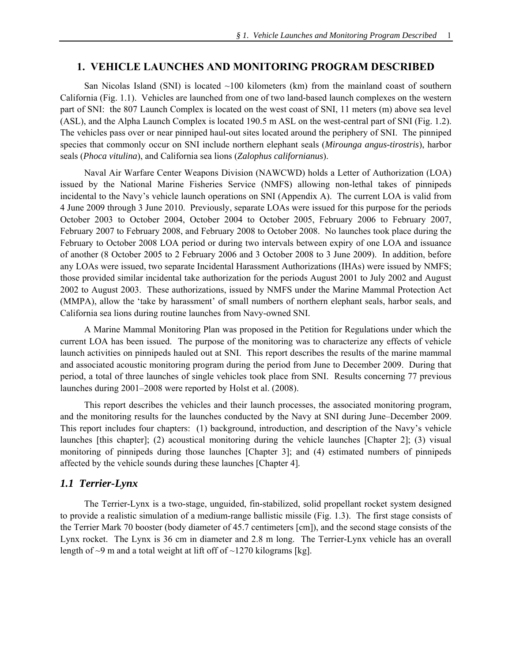#### **1. VEHICLE LAUNCHES AND MONITORING PROGRAM DESCRIBED**

San Nicolas Island (SNI) is located  $\sim$ 100 kilometers (km) from the mainland coast of southern California (Fig. 1.1). Vehicles are launched from one of two land-based launch complexes on the western part of SNI: the 807 Launch Complex is located on the west coast of SNI, 11 meters (m) above sea level (ASL), and the Alpha Launch Complex is located 190.5 m ASL on the west-central part of SNI (Fig. 1.2). The vehicles pass over or near pinniped haul-out sites located around the periphery of SNI. The pinniped species that commonly occur on SNI include northern elephant seals (*Mirounga angus-tirostris*), harbor seals (*Phoca vitulina*), and California sea lions (*Zalophus californianus*).

Naval Air Warfare Center Weapons Division (NAWCWD) holds a Letter of Authorization (LOA) issued by the National Marine Fisheries Service (NMFS) allowing non-lethal takes of pinnipeds incidental to the Navy's vehicle launch operations on SNI (Appendix A). The current LOA is valid from 4 June 2009 through 3 June 2010. Previously, separate LOAs were issued for this purpose for the periods October 2003 to October 2004, October 2004 to October 2005, February 2006 to February 2007, February 2007 to February 2008, and February 2008 to October 2008. No launches took place during the February to October 2008 LOA period or during two intervals between expiry of one LOA and issuance of another (8 October 2005 to 2 February 2006 and 3 October 2008 to 3 June 2009). In addition, before any LOAs were issued, two separate Incidental Harassment Authorizations (IHAs) were issued by NMFS; those provided similar incidental take authorization for the periods August 2001 to July 2002 and August 2002 to August 2003. These authorizations, issued by NMFS under the Marine Mammal Protection Act (MMPA), allow the 'take by harassment' of small numbers of northern elephant seals, harbor seals, and California sea lions during routine launches from Navy-owned SNI.

A Marine Mammal Monitoring Plan was proposed in the Petition for Regulations under which the current LOA has been issued. The purpose of the monitoring was to characterize any effects of vehicle launch activities on pinnipeds hauled out at SNI. This report describes the results of the marine mammal and associated acoustic monitoring program during the period from June to December 2009. During that period, a total of three launches of single vehicles took place from SNI. Results concerning 77 previous launches during 2001–2008 were reported by Holst et al. (2008).

 This report describes the vehicles and their launch processes, the associated monitoring program, and the monitoring results for the launches conducted by the Navy at SNI during June–December 2009. This report includes four chapters: (1) background, introduction, and description of the Navy's vehicle launches [this chapter]; (2) acoustical monitoring during the vehicle launches [Chapter 2]; (3) visual monitoring of pinnipeds during those launches [Chapter 3]; and (4) estimated numbers of pinnipeds affected by the vehicle sounds during these launches [Chapter 4].

### *1.1 Terrier-Lynx*

The Terrier-Lynx is a two-stage, unguided, fin-stabilized, solid propellant rocket system designed to provide a realistic simulation of a medium-range ballistic missile (Fig. 1.3). The first stage consists of the Terrier Mark 70 booster (body diameter of 45.7 centimeters [cm]), and the second stage consists of the Lynx rocket. The Lynx is 36 cm in diameter and 2.8 m long. The Terrier-Lynx vehicle has an overall length of  $\sim$ 9 m and a total weight at lift off of  $\sim$ 1270 kilograms [kg].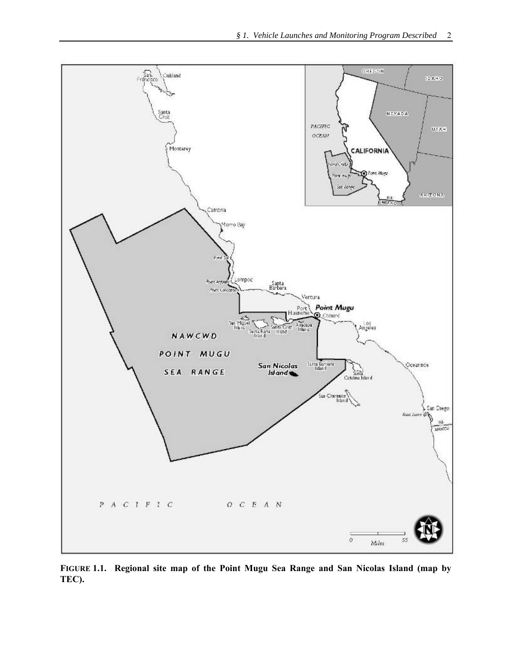

**FIGURE 1.1. Regional site map of the Point Mugu Sea Range and San Nicolas Island (map by TEC).**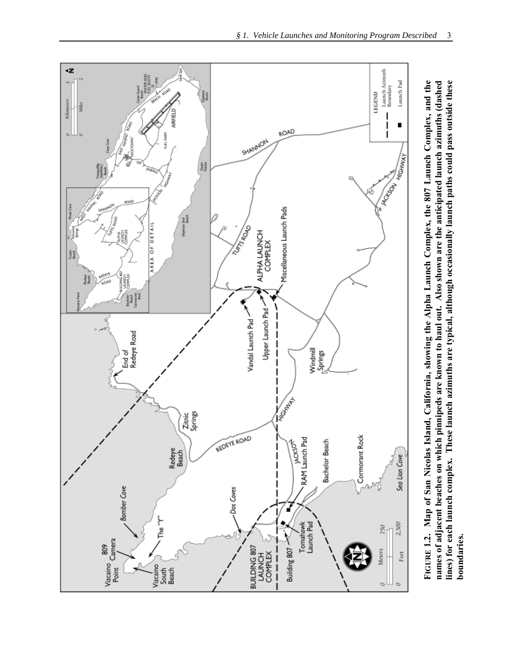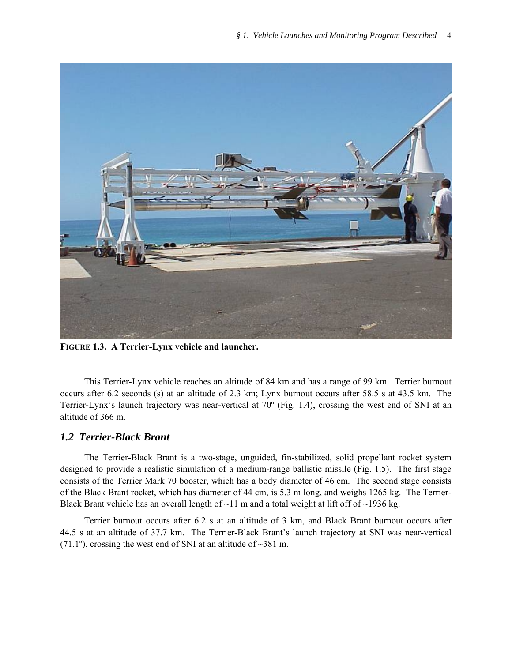

**FIGURE 1.3. A Terrier-Lynx vehicle and launcher.** 

This Terrier-Lynx vehicle reaches an altitude of 84 km and has a range of 99 km. Terrier burnout occurs after 6.2 seconds (s) at an altitude of 2.3 km; Lynx burnout occurs after 58.5 s at 43.5 km. The Terrier-Lynx's launch trajectory was near-vertical at 70º (Fig. 1.4), crossing the west end of SNI at an altitude of 366 m.

## *1.2 Terrier-Black Brant*

The Terrier-Black Brant is a two-stage, unguided, fin-stabilized, solid propellant rocket system designed to provide a realistic simulation of a medium-range ballistic missile (Fig. 1.5). The first stage consists of the Terrier Mark 70 booster, which has a body diameter of 46 cm. The second stage consists of the Black Brant rocket, which has diameter of 44 cm, is 5.3 m long, and weighs 1265 kg. The Terrier-Black Brant vehicle has an overall length of  $\sim$ 11 m and a total weight at lift off of  $\sim$ 1936 kg.

Terrier burnout occurs after 6.2 s at an altitude of 3 km, and Black Brant burnout occurs after 44.5 s at an altitude of 37.7 km. The Terrier-Black Brant's launch trajectory at SNI was near-vertical (71.1<sup>o</sup>), crossing the west end of SNI at an altitude of  $\sim$ 381 m.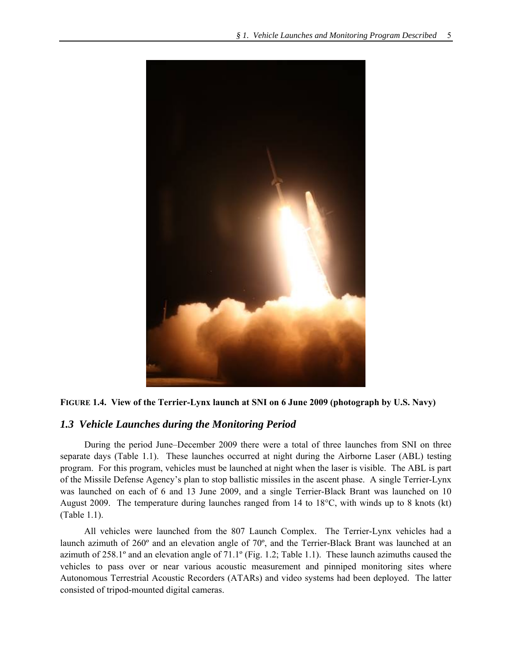



## *1.3 Vehicle Launches during the Monitoring Period*

During the period June–December 2009 there were a total of three launches from SNI on three separate days (Table 1.1). These launches occurred at night during the Airborne Laser (ABL) testing program. For this program, vehicles must be launched at night when the laser is visible. The ABL is part of the Missile Defense Agency's plan to stop ballistic missiles in the ascent phase. A single Terrier-Lynx was launched on each of 6 and 13 June 2009, and a single Terrier-Black Brant was launched on 10 August 2009. The temperature during launches ranged from 14 to 18°C, with winds up to 8 knots (kt) (Table 1.1).

All vehicles were launched from the 807 Launch Complex. The Terrier-Lynx vehicles had a launch azimuth of 260º and an elevation angle of 70º, and the Terrier-Black Brant was launched at an azimuth of 258.1º and an elevation angle of 71.1º (Fig. 1.2; Table 1.1). These launch azimuths caused the vehicles to pass over or near various acoustic measurement and pinniped monitoring sites where Autonomous Terrestrial Acoustic Recorders (ATARs) and video systems had been deployed. The latter consisted of tripod-mounted digital cameras.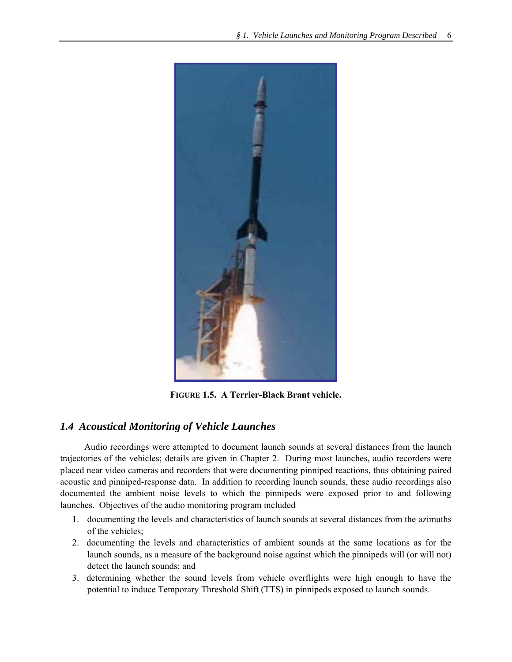

**FIGURE 1.5. A Terrier-Black Brant vehicle.** 

## *1.4 Acoustical Monitoring of Vehicle Launches*

Audio recordings were attempted to document launch sounds at several distances from the launch trajectories of the vehicles; details are given in Chapter 2. During most launches, audio recorders were placed near video cameras and recorders that were documenting pinniped reactions, thus obtaining paired acoustic and pinniped-response data. In addition to recording launch sounds, these audio recordings also documented the ambient noise levels to which the pinnipeds were exposed prior to and following launches. Objectives of the audio monitoring program included

- 1. documenting the levels and characteristics of launch sounds at several distances from the azimuths of the vehicles;
- 2. documenting the levels and characteristics of ambient sounds at the same locations as for the launch sounds, as a measure of the background noise against which the pinnipeds will (or will not) detect the launch sounds; and
- 3. determining whether the sound levels from vehicle overflights were high enough to have the potential to induce Temporary Threshold Shift (TTS) in pinnipeds exposed to launch sounds.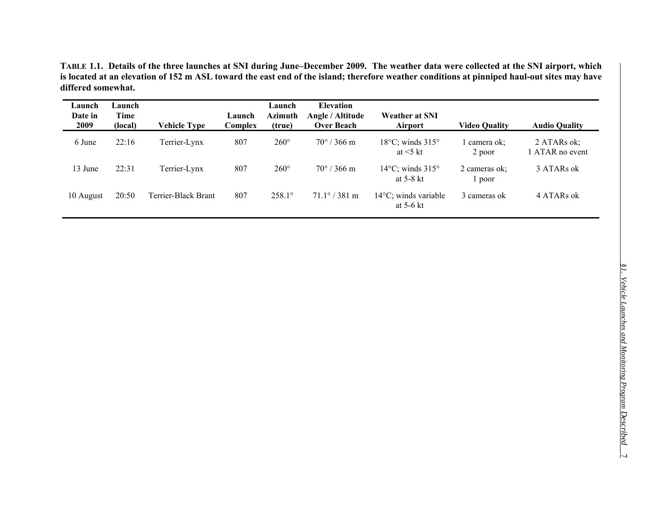**TABLE 1.1. Details of the three launches at SNI during June–December 2009. The weather data were collected at the SNI airport, which is located at an elevation of 152 m ASL toward the east end of the island; therefore weather conditions at pinniped haul-out sites may have differed somewhat.** 

| Launch<br>Date in<br>2009 | Launch<br>Time<br>(local) | Vehicle Type        | Launch<br>Complex | Launch<br><b>Azimuth</b><br>(true) | <b>Elevation</b><br>Angle / Altitude<br><b>Over Beach</b> | <b>Weather at SNI</b><br><b>Airport</b>               | <b>Video Quality</b>    | <b>Audio Quality</b>           |
|---------------------------|---------------------------|---------------------|-------------------|------------------------------------|-----------------------------------------------------------|-------------------------------------------------------|-------------------------|--------------------------------|
| 6 June                    | 22:16                     | Terrier-Lynx        | 807               | $260^\circ$                        | $70^{\circ}$ / 366 m                                      | $18^{\circ}$ C; winds $315^{\circ}$<br>at $\leq$ 5 kt | camera ok:<br>2 poor    | 2 ATARs ok;<br>1 ATAR no event |
| 13 June                   | 22:31                     | Terrier-Lynx        | 807               | $260^\circ$                        | $70^{\circ}$ / 366 m                                      | $14^{\circ}$ C; winds $315^{\circ}$<br>at $5-8$ kt    | 2 cameras ok:<br>1 poor | 3 ATARs ok                     |
| 10 August                 | 20:50                     | Terrier-Black Brant | 807               | $258.1^{\circ}$                    | $71.1^{\circ}$ / 381 m                                    | $14^{\circ}$ C; winds variable<br>at $5-6$ kt         | 3 cameras ok            | 4 ATARs ok                     |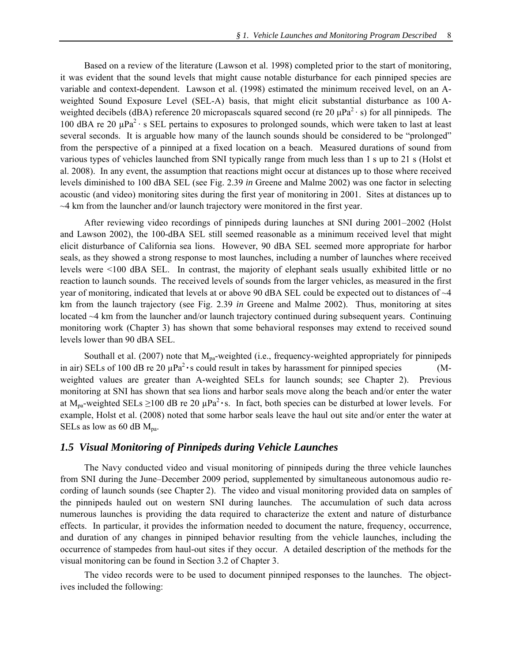Based on a review of the literature (Lawson et al. 1998) completed prior to the start of monitoring, it was evident that the sound levels that might cause notable disturbance for each pinniped species are variable and context-dependent. Lawson et al. (1998) estimated the minimum received level, on an Aweighted Sound Exposure Level (SEL-A) basis, that might elicit substantial disturbance as 100 Aweighted decibels (dBA) reference 20 micropascals squared second (re 20  $\mu$ Pa<sup>2</sup> · s) for all pinnipeds. The 100 dBA re 20  $\mu$ Pa<sup>2</sup> · s SEL pertains to exposures to prolonged sounds, which were taken to last at least several seconds. It is arguable how many of the launch sounds should be considered to be "prolonged" from the perspective of a pinniped at a fixed location on a beach. Measured durations of sound from various types of vehicles launched from SNI typically range from much less than 1 s up to 21 s (Holst et al. 2008). In any event, the assumption that reactions might occur at distances up to those where received levels diminished to 100 dBA SEL (see Fig. 2.39 *in* Greene and Malme 2002) was one factor in selecting acoustic (and video) monitoring sites during the first year of monitoring in 2001. Sites at distances up to ~4 km from the launcher and/or launch trajectory were monitored in the first year.

 After reviewing video recordings of pinnipeds during launches at SNI during 2001–2002 (Holst and Lawson 2002), the 100-dBA SEL still seemed reasonable as a minimum received level that might elicit disturbance of California sea lions. However, 90 dBA SEL seemed more appropriate for harbor seals, as they showed a strong response to most launches, including a number of launches where received levels were <100 dBA SEL. In contrast, the majority of elephant seals usually exhibited little or no reaction to launch sounds. The received levels of sounds from the larger vehicles, as measured in the first year of monitoring, indicated that levels at or above 90 dBA SEL could be expected out to distances of  $\sim$ 4 km from the launch trajectory (see Fig. 2.39 *in* Greene and Malme 2002). Thus, monitoring at sites located ~4 km from the launcher and/or launch trajectory continued during subsequent years. Continuing monitoring work (Chapter 3) has shown that some behavioral responses may extend to received sound levels lower than 90 dBA SEL.

Southall et al. (2007) note that  $M_{pa}$ -weighted (i.e., frequency-weighted appropriately for pinnipeds in air) SELs of 100 dB re 20  $\mu$ Pa<sup>2</sup>  $\cdot$  s could result in takes by harassment for pinniped species (Mweighted values are greater than A-weighted SELs for launch sounds; see Chapter 2). Previous monitoring at SNI has shown that sea lions and harbor seals move along the beach and/or enter the water at  $M_{\text{pa}}$ -weighted SELs  $\geq$ 100 dB re 20  $\mu$ Pa<sup>2</sup> · s. In fact, both species can be disturbed at lower levels. For example, Holst et al. (2008) noted that some harbor seals leave the haul out site and/or enter the water at SELs as low as 60 dB  $M_{pa}$ .

### *1.5 Visual Monitoring of Pinnipeds during Vehicle Launches*

The Navy conducted video and visual monitoring of pinnipeds during the three vehicle launches from SNI during the June–December 2009 period, supplemented by simultaneous autonomous audio recording of launch sounds (see Chapter 2). The video and visual monitoring provided data on samples of the pinnipeds hauled out on western SNI during launches. The accumulation of such data across numerous launches is providing the data required to characterize the extent and nature of disturbance effects. In particular, it provides the information needed to document the nature, frequency, occurrence, and duration of any changes in pinniped behavior resulting from the vehicle launches, including the occurrence of stampedes from haul-out sites if they occur. A detailed description of the methods for the visual monitoring can be found in Section 3.2 of Chapter 3.

The video records were to be used to document pinniped responses to the launches. The objectives included the following: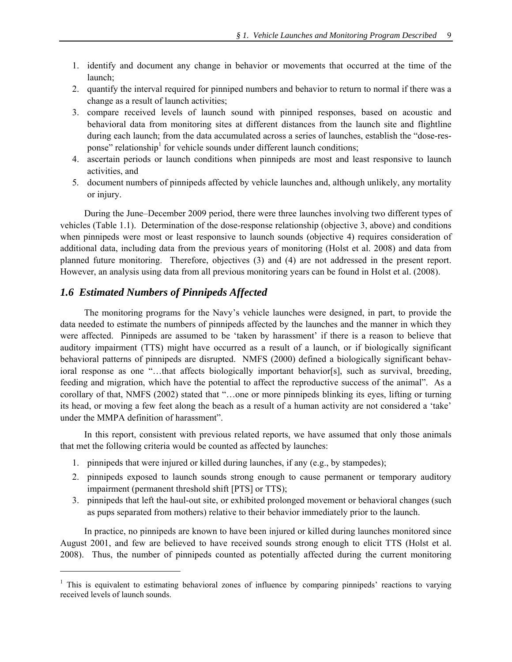- 1. identify and document any change in behavior or movements that occurred at the time of the launch;
- 2. quantify the interval required for pinniped numbers and behavior to return to normal if there was a change as a result of launch activities;
- 3. compare received levels of launch sound with pinniped responses, based on acoustic and behavioral data from monitoring sites at different distances from the launch site and flightline during each launch; from the data accumulated across a series of launches, establish the "dose-response" relationship<sup>1</sup> for vehicle sounds under different launch conditions;
- 4. ascertain periods or launch conditions when pinnipeds are most and least responsive to launch activities, and
- 5. document numbers of pinnipeds affected by vehicle launches and, although unlikely, any mortality or injury.

 During the June–December 2009 period, there were three launches involving two different types of vehicles (Table 1.1). Determination of the dose-response relationship (objective 3, above) and conditions when pinnipeds were most or least responsive to launch sounds (objective 4) requires consideration of additional data, including data from the previous years of monitoring (Holst et al. 2008) and data from planned future monitoring. Therefore, objectives (3) and (4) are not addressed in the present report. However, an analysis using data from all previous monitoring years can be found in Holst et al. (2008).

### *1.6 Estimated Numbers of Pinnipeds Affected*

 $\overline{a}$ 

The monitoring programs for the Navy's vehicle launches were designed, in part, to provide the data needed to estimate the numbers of pinnipeds affected by the launches and the manner in which they were affected. Pinnipeds are assumed to be 'taken by harassment' if there is a reason to believe that auditory impairment (TTS) might have occurred as a result of a launch, or if biologically significant behavioral patterns of pinnipeds are disrupted. NMFS (2000) defined a biologically significant behavioral response as one "…that affects biologically important behavior[s], such as survival, breeding, feeding and migration, which have the potential to affect the reproductive success of the animal". As a corollary of that, NMFS (2002) stated that "…one or more pinnipeds blinking its eyes, lifting or turning its head, or moving a few feet along the beach as a result of a human activity are not considered a 'take' under the MMPA definition of harassment".

In this report, consistent with previous related reports, we have assumed that only those animals that met the following criteria would be counted as affected by launches:

- 1. pinnipeds that were injured or killed during launches, if any (e.g., by stampedes);
- 2. pinnipeds exposed to launch sounds strong enough to cause permanent or temporary auditory impairment (permanent threshold shift [PTS] or TTS);
- 3. pinnipeds that left the haul-out site, or exhibited prolonged movement or behavioral changes (such as pups separated from mothers) relative to their behavior immediately prior to the launch.

In practice, no pinnipeds are known to have been injured or killed during launches monitored since August 2001, and few are believed to have received sounds strong enough to elicit TTS (Holst et al. 2008). Thus, the number of pinnipeds counted as potentially affected during the current monitoring

<sup>&</sup>lt;sup>1</sup> This is equivalent to estimating behavioral zones of influence by comparing pinnipeds' reactions to varying received levels of launch sounds.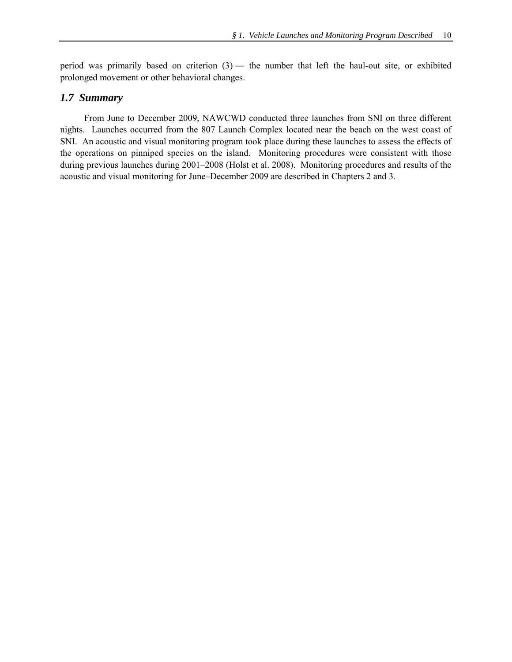period was primarily based on criterion  $(3)$  — the number that left the haul-out site, or exhibited prolonged movement or other behavioral changes.

## *1.7 Summary*

From June to December 2009, NAWCWD conducted three launches from SNI on three different nights. Launches occurred from the 807 Launch Complex located near the beach on the west coast of SNI. An acoustic and visual monitoring program took place during these launches to assess the effects of the operations on pinniped species on the island. Monitoring procedures were consistent with those during previous launches during 2001–2008 (Holst et al. 2008). Monitoring procedures and results of the acoustic and visual monitoring for June–December 2009 are described in Chapters 2 and 3.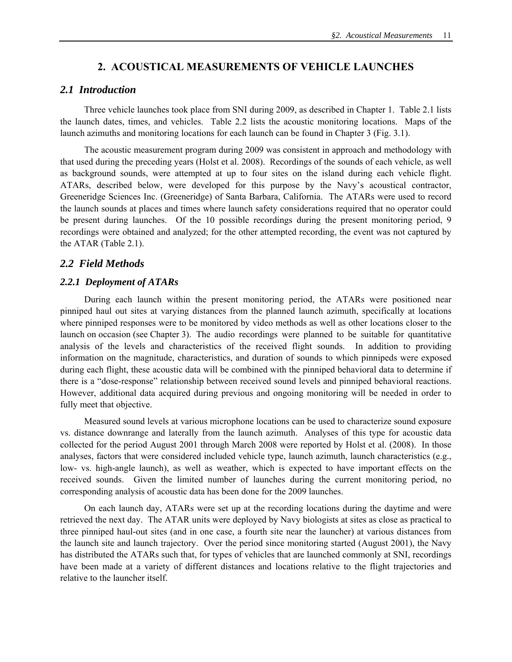### **2. ACOUSTICAL MEASUREMENTS OF VEHICLE LAUNCHES**

#### *2.1 Introduction*

Three vehicle launches took place from SNI during 2009, as described in Chapter 1. Table 2.1 lists the launch dates, times, and vehicles. Table 2.2 lists the acoustic monitoring locations. Maps of the launch azimuths and monitoring locations for each launch can be found in Chapter 3 (Fig. 3.1).

The acoustic measurement program during 2009 was consistent in approach and methodology with that used during the preceding years (Holst et al. 2008). Recordings of the sounds of each vehicle, as well as background sounds, were attempted at up to four sites on the island during each vehicle flight. ATARs, described below, were developed for this purpose by the Navy's acoustical contractor, Greeneridge Sciences Inc. (Greeneridge) of Santa Barbara, California. The ATARs were used to record the launch sounds at places and times where launch safety considerations required that no operator could be present during launches. Of the 10 possible recordings during the present monitoring period, 9 recordings were obtained and analyzed; for the other attempted recording, the event was not captured by the ATAR (Table 2.1).

## *2.2 Field Methods*

#### *2.2.1 Deployment of ATARs*

 During each launch within the present monitoring period, the ATARs were positioned near pinniped haul out sites at varying distances from the planned launch azimuth, specifically at locations where pinniped responses were to be monitored by video methods as well as other locations closer to the launch on occasion (see Chapter 3). The audio recordings were planned to be suitable for quantitative analysis of the levels and characteristics of the received flight sounds. In addition to providing information on the magnitude, characteristics, and duration of sounds to which pinnipeds were exposed during each flight, these acoustic data will be combined with the pinniped behavioral data to determine if there is a "dose-response" relationship between received sound levels and pinniped behavioral reactions. However, additional data acquired during previous and ongoing monitoring will be needed in order to fully meet that objective.

Measured sound levels at various microphone locations can be used to characterize sound exposure vs. distance downrange and laterally from the launch azimuth. Analyses of this type for acoustic data collected for the period August 2001 through March 2008 were reported by Holst et al. (2008). In those analyses, factors that were considered included vehicle type, launch azimuth, launch characteristics (e.g., low- vs. high-angle launch), as well as weather, which is expected to have important effects on the received sounds. Given the limited number of launches during the current monitoring period, no corresponding analysis of acoustic data has been done for the 2009 launches.

 On each launch day, ATARs were set up at the recording locations during the daytime and were retrieved the next day. The ATAR units were deployed by Navy biologists at sites as close as practical to three pinniped haul-out sites (and in one case, a fourth site near the launcher) at various distances from the launch site and launch trajectory. Over the period since monitoring started (August 2001), the Navy has distributed the ATARs such that, for types of vehicles that are launched commonly at SNI, recordings have been made at a variety of different distances and locations relative to the flight trajectories and relative to the launcher itself.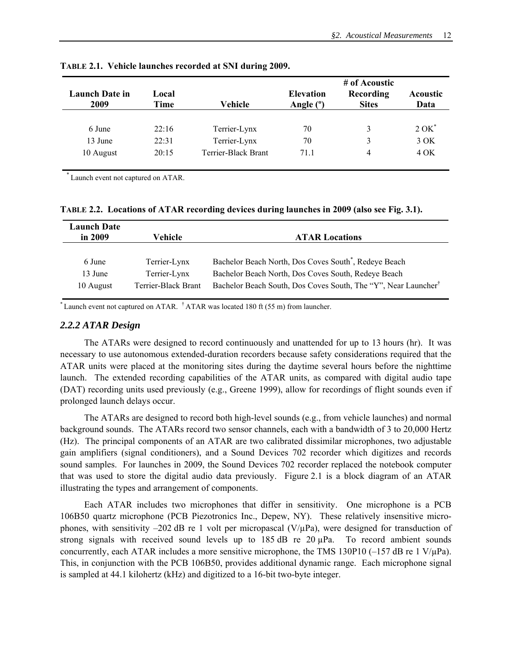|                               |               |                     |                                 | # of Acoustic             |                         |
|-------------------------------|---------------|---------------------|---------------------------------|---------------------------|-------------------------|
| <b>Launch Date in</b><br>2009 | Local<br>Time | Vehicle             | <b>Elevation</b><br>Angle $(°)$ | Recording<br><b>Sites</b> | <b>Acoustic</b><br>Data |
|                               |               |                     |                                 |                           |                         |
| 6 June                        | 22:16         | Terrier-Lynx        | 70                              | 3                         | $2$ OK $^*$             |
| 13 June                       | 22.31         | Terrier-Lynx        | 70                              | 3                         | 3 OK                    |
| 10 August                     | 20:15         | Terrier-Black Brant | 71.1                            | 4                         | 4 OK                    |

**TABLE 2.1. Vehicle launches recorded at SNI during 2009.** 

\* Launch event not captured on ATAR.

**TABLE 2.2. Locations of ATAR recording devices during launches in 2009 (also see Fig. 3.1).** 

| <b>Launch Date</b><br>in 2009 | Vehicle             | <b>ATAR Locations</b>                                                      |
|-------------------------------|---------------------|----------------------------------------------------------------------------|
| 6 June                        | Terrier-Lynx        | Bachelor Beach North, Dos Coves South <sup>*</sup> , Redeye Beach          |
| 13 June                       | Terrier-Lynx        | Bachelor Beach North, Dos Coves South, Redeye Beach                        |
| 10 August                     | Terrier-Black Brant | Bachelor Beach South, Dos Coves South, The "Y", Near Launcher <sup>†</sup> |

 $*$  Launch event not captured on ATAR.  $\dot{\phantom{1}}$  ATAR was located 180 ft (55 m) from launcher.

#### *2.2.2 ATAR Design*

 The ATARs were designed to record continuously and unattended for up to 13 hours (hr). It was necessary to use autonomous extended-duration recorders because safety considerations required that the ATAR units were placed at the monitoring sites during the daytime several hours before the nighttime launch. The extended recording capabilities of the ATAR units, as compared with digital audio tape (DAT) recording units used previously (e.g., Greene 1999), allow for recordings of flight sounds even if prolonged launch delays occur.

The ATARs are designed to record both high-level sounds (e.g., from vehicle launches) and normal background sounds. The ATARs record two sensor channels, each with a bandwidth of 3 to 20,000 Hertz (Hz). The principal components of an ATAR are two calibrated dissimilar microphones, two adjustable gain amplifiers (signal conditioners), and a Sound Devices 702 recorder which digitizes and records sound samples. For launches in 2009, the Sound Devices 702 recorder replaced the notebook computer that was used to store the digital audio data previously. Figure 2.1 is a block diagram of an ATAR illustrating the types and arrangement of components.

Each ATAR includes two microphones that differ in sensitivity. One microphone is a PCB 106B50 quartz microphone (PCB Piezotronics Inc., Depew, NY). These relatively insensitive microphones, with sensitivity –202 dB re 1 volt per micropascal ( $V/\mu$ Pa), were designed for transduction of strong signals with received sound levels up to  $185 \text{ dB}$  re  $20 \mu \text{Pa}$ . To record ambient sounds concurrently, each ATAR includes a more sensitive microphone, the TMS 130P10 ( $-157$  dB re 1 V/ $\mu$ Pa). This, in conjunction with the PCB 106B50, provides additional dynamic range. Each microphone signal is sampled at 44.1 kilohertz (kHz) and digitized to a 16-bit two-byte integer.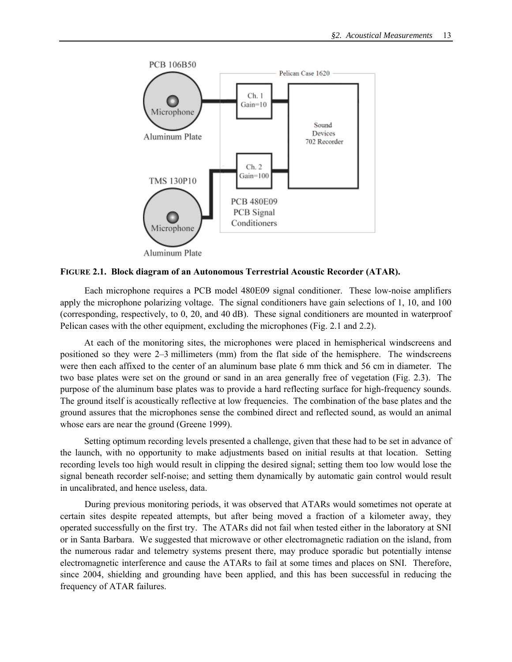

**FIGURE 2.1. Block diagram of an Autonomous Terrestrial Acoustic Recorder (ATAR).** 

 Each microphone requires a PCB model 480E09 signal conditioner. These low-noise amplifiers apply the microphone polarizing voltage. The signal conditioners have gain selections of 1, 10, and 100 (corresponding, respectively, to 0, 20, and 40 dB). These signal conditioners are mounted in waterproof Pelican cases with the other equipment, excluding the microphones (Fig. 2.1 and 2.2).

 At each of the monitoring sites, the microphones were placed in hemispherical windscreens and positioned so they were 2–3 millimeters (mm) from the flat side of the hemisphere. The windscreens were then each affixed to the center of an aluminum base plate 6 mm thick and 56 cm in diameter. The two base plates were set on the ground or sand in an area generally free of vegetation (Fig. 2.3). The purpose of the aluminum base plates was to provide a hard reflecting surface for high-frequency sounds. The ground itself is acoustically reflective at low frequencies. The combination of the base plates and the ground assures that the microphones sense the combined direct and reflected sound, as would an animal whose ears are near the ground (Greene 1999).

Setting optimum recording levels presented a challenge, given that these had to be set in advance of the launch, with no opportunity to make adjustments based on initial results at that location. Setting recording levels too high would result in clipping the desired signal; setting them too low would lose the signal beneath recorder self-noise; and setting them dynamically by automatic gain control would result in uncalibrated, and hence useless, data.

 During previous monitoring periods, it was observed that ATARs would sometimes not operate at certain sites despite repeated attempts, but after being moved a fraction of a kilometer away, they operated successfully on the first try. The ATARs did not fail when tested either in the laboratory at SNI or in Santa Barbara. We suggested that microwave or other electromagnetic radiation on the island, from the numerous radar and telemetry systems present there, may produce sporadic but potentially intense electromagnetic interference and cause the ATARs to fail at some times and places on SNI. Therefore, since 2004, shielding and grounding have been applied, and this has been successful in reducing the frequency of ATAR failures.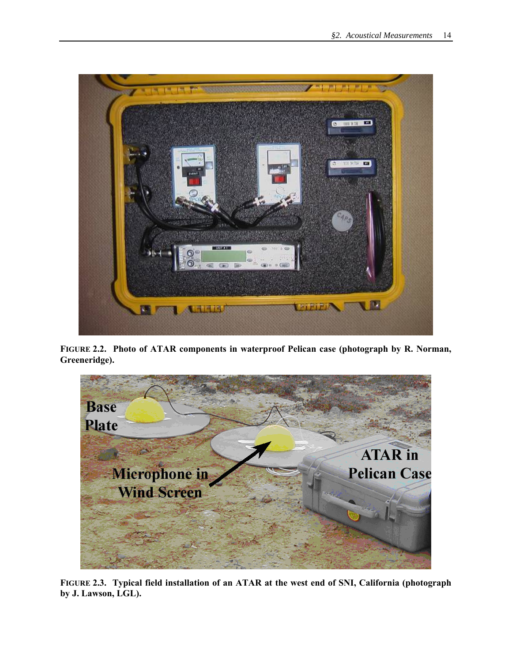

**FIGURE 2.2. Photo of ATAR components in waterproof Pelican case (photograph by R. Norman, Greeneridge).** 



**FIGURE 2.3. Typical field installation of an ATAR at the west end of SNI, California (photograph by J. Lawson, LGL).**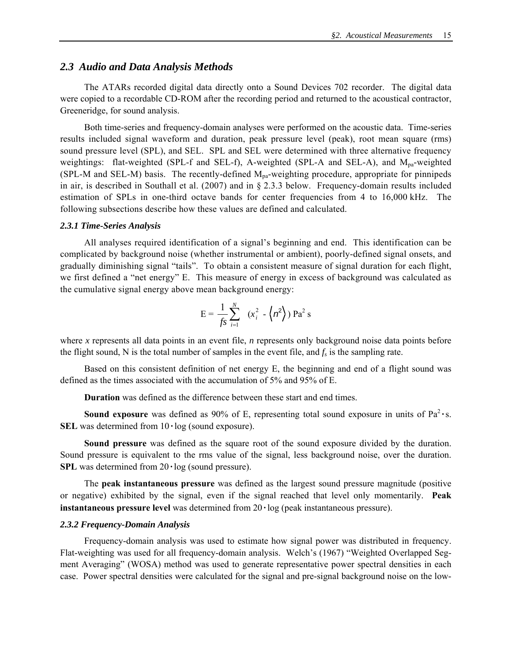## *2.3 Audio and Data Analysis Methods*

The ATARs recorded digital data directly onto a Sound Devices 702 recorder. The digital data were copied to a recordable CD-ROM after the recording period and returned to the acoustical contractor, Greeneridge, for sound analysis.

Both time-series and frequency-domain analyses were performed on the acoustic data. Time-series results included signal waveform and duration, peak pressure level (peak), root mean square (rms) sound pressure level (SPL), and SEL. SPL and SEL were determined with three alternative frequency weightings: flat-weighted (SPL-f and SEL-f), A-weighted (SPL-A and SEL-A), and M<sub>pa</sub>-weighted (SPL-M and SEL-M) basis. The recently-defined Mpa-weighting procedure, appropriate for pinnipeds in air, is described in Southall et al. (2007) and in § 2.3.3 below. Frequency-domain results included estimation of SPLs in one-third octave bands for center frequencies from 4 to 16,000 kHz. The following subsections describe how these values are defined and calculated.

#### *2.3.1 Time-Series Analysis*

All analyses required identification of a signal's beginning and end. This identification can be complicated by background noise (whether instrumental or ambient), poorly-defined signal onsets, and gradually diminishing signal "tails". To obtain a consistent measure of signal duration for each flight, we first defined a "net energy" E. This measure of energy in excess of background was calculated as the cumulative signal energy above mean background energy:

$$
E = \frac{1}{fs} \sum_{i=1}^{N} (x_i^2 - \left\langle n^2 \right\rangle) Pa^2 s
$$

where *x* represents all data points in an event file, *n* represents only background noise data points before the flight sound, N is the total number of samples in the event file, and  $f_s$  is the sampling rate.

Based on this consistent definition of net energy E, the beginning and end of a flight sound was defined as the times associated with the accumulation of 5% and 95% of E.

**Duration** was defined as the difference between these start and end times.

**Sound exposure** was defined as 90% of E, representing total sound exposure in units of  $Pa^2 \cdot s$ . **SEL** was determined from  $10 \cdot \log$  (sound exposure).

**Sound pressure** was defined as the square root of the sound exposure divided by the duration. Sound pressure is equivalent to the rms value of the signal, less background noise, over the duration. **SPL** was determined from  $20 \cdot \log$  (sound pressure).

The **peak instantaneous pressure** was defined as the largest sound pressure magnitude (positive or negative) exhibited by the signal, even if the signal reached that level only momentarily. **Peak instantaneous pressure level** was determined from 20 **·** log (peak instantaneous pressure).

#### *2.3.2 Frequency-Domain Analysis*

Frequency-domain analysis was used to estimate how signal power was distributed in frequency. Flat-weighting was used for all frequency-domain analysis.Welch's (1967) "Weighted Overlapped Segment Averaging" (WOSA) method was used to generate representative power spectral densities in each case. Power spectral densities were calculated for the signal and pre-signal background noise on the low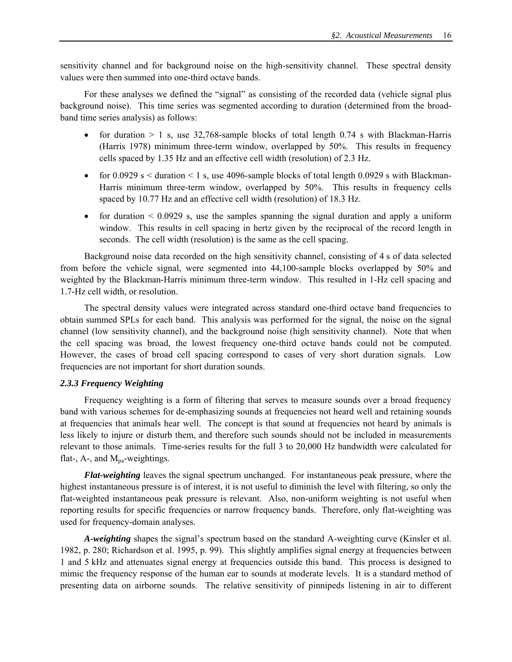sensitivity channel and for background noise on the high-sensitivity channel. These spectral density values were then summed into one-third octave bands.

For these analyses we defined the "signal" as consisting of the recorded data (vehicle signal plus background noise). This time series was segmented according to duration (determined from the broadband time series analysis) as follows:

- for duration  $> 1$  s, use 32,768-sample blocks of total length 0.74 s with Blackman-Harris (Harris 1978) minimum three-term window, overlapped by 50%. This results in frequency cells spaced by 1.35 Hz and an effective cell width (resolution) of 2.3 Hz.
- for 0.0929 s  $\le$  duration  $\le$  1 s, use 4096-sample blocks of total length 0.0929 s with Blackman-Harris minimum three-term window, overlapped by 50%. This results in frequency cells spaced by 10.77 Hz and an effective cell width (resolution) of 18.3 Hz.
- for duration  $\leq 0.0929$  s, use the samples spanning the signal duration and apply a uniform window. This results in cell spacing in hertz given by the reciprocal of the record length in seconds. The cell width (resolution) is the same as the cell spacing.

 Background noise data recorded on the high sensitivity channel, consisting of 4 s of data selected from before the vehicle signal, were segmented into 44,100-sample blocks overlapped by 50% and weighted by the Blackman-Harris minimum three-term window. This resulted in 1-Hz cell spacing and 1.7-Hz cell width, or resolution.

The spectral density values were integrated across standard one-third octave band frequencies to obtain summed SPLs for each band. This analysis was performed for the signal, the noise on the signal channel (low sensitivity channel), and the background noise (high sensitivity channel). Note that when the cell spacing was broad, the lowest frequency one-third octave bands could not be computed. However, the cases of broad cell spacing correspond to cases of very short duration signals. Low frequencies are not important for short duration sounds.

#### *2.3.3 Frequency Weighting*

Frequency weighting is a form of filtering that serves to measure sounds over a broad frequency band with various schemes for de-emphasizing sounds at frequencies not heard well and retaining sounds at frequencies that animals hear well. The concept is that sound at frequencies not heard by animals is less likely to injure or disturb them, and therefore such sounds should not be included in measurements relevant to those animals. Time-series results for the full 3 to 20,000 Hz bandwidth were calculated for flat-,  $A$ -, and  $M_{pa}$ -weightings.

*Flat-weighting* leaves the signal spectrum unchanged. For instantaneous peak pressure, where the highest instantaneous pressure is of interest, it is not useful to diminish the level with filtering, so only the flat-weighted instantaneous peak pressure is relevant. Also, non-uniform weighting is not useful when reporting results for specific frequencies or narrow frequency bands. Therefore, only flat-weighting was used for frequency-domain analyses.

*A-weighting* shapes the signal's spectrum based on the standard A-weighting curve (Kinsler et al. 1982, p. 280; Richardson et al. 1995, p. 99). This slightly amplifies signal energy at frequencies between 1 and 5 kHz and attenuates signal energy at frequencies outside this band. This process is designed to mimic the frequency response of the human ear to sounds at moderate levels. It is a standard method of presenting data on airborne sounds. The relative sensitivity of pinnipeds listening in air to different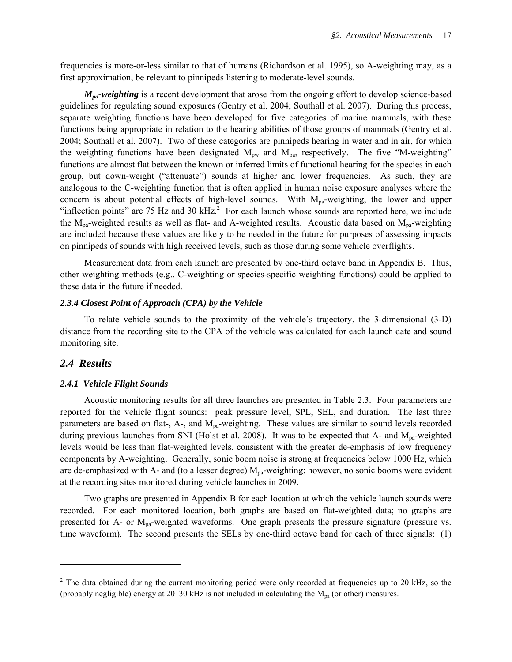frequencies is more-or-less similar to that of humans (Richardson et al. 1995), so A-weighting may, as a first approximation, be relevant to pinnipeds listening to moderate-level sounds.

*M<sub>pa</sub>-weighting* is a recent development that arose from the ongoing effort to develop science-based guidelines for regulating sound exposures (Gentry et al. 2004; Southall et al. 2007). During this process, separate weighting functions have been developed for five categories of marine mammals, with these functions being appropriate in relation to the hearing abilities of those groups of mammals (Gentry et al. 2004; Southall et al. 2007). Two of these categories are pinnipeds hearing in water and in air, for which the weighting functions have been designated  $M_{\text{pw}}$  and  $M_{\text{pa}}$ , respectively. The five "M-weighting" functions are almost flat between the known or inferred limits of functional hearing for the species in each group, but down-weight ("attenuate") sounds at higher and lower frequencies. As such, they are analogous to the C-weighting function that is often applied in human noise exposure analyses where the concern is about potential effects of high-level sounds. With  $M_{pa}$ -weighting, the lower and upper "inflection points" are 75 Hz and 30 kHz. $^2$  For each launch whose sounds are reported here, we include the  $M_{pa}$ -weighted results as well as flat- and A-weighted results. Acoustic data based on  $M_{pa}$ -weighting are included because these values are likely to be needed in the future for purposes of assessing impacts on pinnipeds of sounds with high received levels, such as those during some vehicle overflights.

Measurement data from each launch are presented by one-third octave band in Appendix B. Thus, other weighting methods (e.g., C-weighting or species-specific weighting functions) could be applied to these data in the future if needed.

#### *2.3.4 Closest Point of Approach (CPA) by the Vehicle*

To relate vehicle sounds to the proximity of the vehicle's trajectory, the 3-dimensional (3-D) distance from the recording site to the CPA of the vehicle was calculated for each launch date and sound monitoring site.

## *2.4 Results*

 $\overline{a}$ 

#### *2.4.1 Vehicle Flight Sounds*

Acoustic monitoring results for all three launches are presented in Table 2.3. Four parameters are reported for the vehicle flight sounds: peak pressure level, SPL, SEL, and duration. The last three parameters are based on flat-, A-, and M<sub>pa</sub>-weighting. These values are similar to sound levels recorded during previous launches from SNI (Holst et al. 2008). It was to be expected that A- and M<sub>pa</sub>-weighted levels would be less than flat-weighted levels, consistent with the greater de-emphasis of low frequency components by A-weighting. Generally, sonic boom noise is strong at frequencies below 1000 Hz, which are de-emphasized with A- and (to a lesser degree)  $M_{pa}$ -weighting; however, no sonic booms were evident at the recording sites monitored during vehicle launches in 2009.

 Two graphs are presented in Appendix B for each location at which the vehicle launch sounds were recorded. For each monitored location, both graphs are based on flat-weighted data; no graphs are presented for A- or  $M_{pa}$ -weighted waveforms. One graph presents the pressure signature (pressure vs. time waveform). The second presents the SELs by one-third octave band for each of three signals: (1)

 $2^2$  The data obtained during the current monitoring period were only recorded at frequencies up to 20 kHz, so the (probably negligible) energy at 20–30 kHz is not included in calculating the  $M_{pa}$  (or other) measures.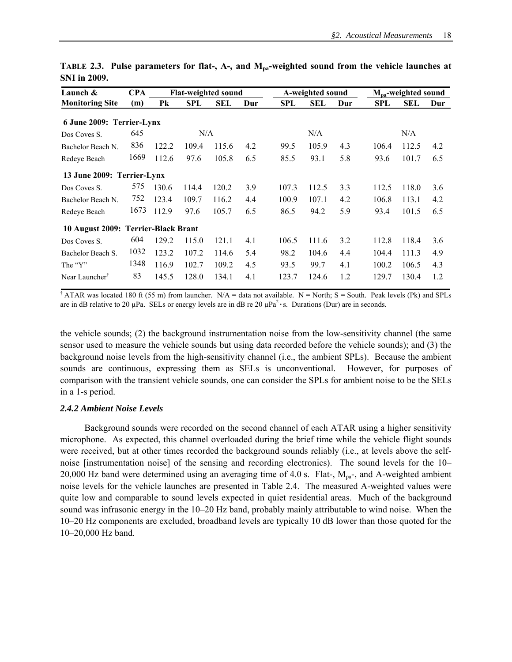| Launch &                            | <b>CPA</b> | <b>Flat-weighted sound</b> |       |       |     |            | A-weighted sound |     |       | $M_{\text{pa}}$ -weighted sound |     |  |
|-------------------------------------|------------|----------------------------|-------|-------|-----|------------|------------------|-----|-------|---------------------------------|-----|--|
| <b>Monitoring Site</b>              | (m)        | Pk                         | SPL   | SEL   | Dur | <b>SPL</b> | <b>SEL</b>       | Dur | SPL   | SEL                             | Dur |  |
| 6 June 2009: Terrier-Lynx           |            |                            |       |       |     |            |                  |     |       |                                 |     |  |
| Dos Coves S.                        | 645        |                            | N/A   |       |     |            | N/A              |     |       | N/A                             |     |  |
| Bachelor Beach N.                   | 836        | 122.2                      | 109.4 | 115.6 | 4.2 | 99.5       | 105.9            | 4.3 | 106.4 | 112.5                           | 4.2 |  |
| Redeye Beach                        | 1669       | 112.6                      | 97.6  | 105.8 | 6.5 | 85.5       | 93.1             | 5.8 | 93.6  | 101.7                           | 6.5 |  |
| 13 June 2009: Terrier-Lynx          |            |                            |       |       |     |            |                  |     |       |                                 |     |  |
| Dos Coves S.                        | 575        | 130.6                      | 114.4 | 120.2 | 3.9 | 107.3      | 112.5            | 3.3 | 112.5 | 118.0                           | 3.6 |  |
| Bachelor Beach N.                   | 752        | 123.4                      | 109.7 | 116.2 | 4.4 | 100.9      | 107.1            | 4.2 | 106.8 | 113.1                           | 4.2 |  |
| Redeye Beach                        | 1673       | 112.9                      | 97.6  | 105.7 | 6.5 | 86.5       | 94.2             | 5.9 | 93.4  | 101.5                           | 6.5 |  |
| 10 August 2009: Terrier-Black Brant |            |                            |       |       |     |            |                  |     |       |                                 |     |  |
| Dos Coves S.                        | 604        | 129.2                      | 115.0 | 121.1 | 4.1 | 106.5      | 111.6            | 3.2 | 112.8 | 118.4                           | 3.6 |  |
| Bachelor Beach S.                   | 1032       | 123.2                      | 107.2 | 114.6 | 5.4 | 98.2       | 104.6            | 4.4 | 104.4 | 111.3                           | 4.9 |  |
| The "Y"                             | 1348       | 116.9                      | 102.7 | 109.2 | 4.5 | 93.5       | 99.7             | 4.1 | 100.2 | 106.5                           | 4.3 |  |
| Near Launcher <sup>T</sup>          | 83         | 145.5                      | 128.0 | 134.1 | 4.1 | 123.7      | 124.6            | 1.2 | 129.7 | 130.4                           | 1.2 |  |

TABLE 2.3. Pulse parameters for flat-, A-, and M<sub>pa</sub>-weighted sound from the vehicle launches at **SNI in 2009.** 

<sup>†</sup> ATAR was located 180 ft (55 m) from launcher. N/A = data not available. N = North; S = South. Peak levels (Pk) and SPLs are in dB relative to 20  $\mu$ Pa. SELs or energy levels are in dB re 20  $\mu$ Pa<sup>2</sup> **·**s. Durations (Dur) are in seconds.

the vehicle sounds; (2) the background instrumentation noise from the low-sensitivity channel (the same sensor used to measure the vehicle sounds but using data recorded before the vehicle sounds); and (3) the background noise levels from the high-sensitivity channel (i.e., the ambient SPLs). Because the ambient sounds are continuous, expressing them as SELs is unconventional. However, for purposes of comparison with the transient vehicle sounds, one can consider the SPLs for ambient noise to be the SELs in a 1-s period.

#### *2.4.2 Ambient Noise Levels*

 Background sounds were recorded on the second channel of each ATAR using a higher sensitivity microphone. As expected, this channel overloaded during the brief time while the vehicle flight sounds were received, but at other times recorded the background sounds reliably (i.e., at levels above the selfnoise [instrumentation noise] of the sensing and recording electronics). The sound levels for the 10– 20,000 Hz band were determined using an averaging time of 4.0 s. Flat-,  $M_{\text{pa}}$ -, and A-weighted ambient noise levels for the vehicle launches are presented in Table 2.4. The measured A-weighted values were quite low and comparable to sound levels expected in quiet residential areas. Much of the background sound was infrasonic energy in the 10–20 Hz band, probably mainly attributable to wind noise. When the 10–20 Hz components are excluded, broadband levels are typically 10 dB lower than those quoted for the 10–20,000 Hz band.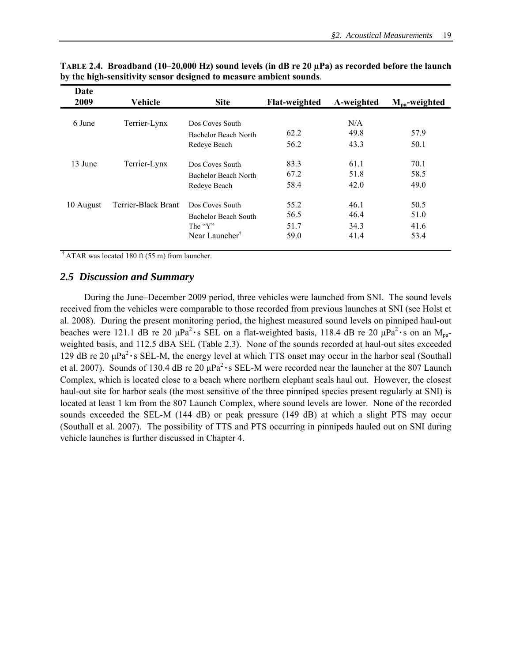| Date<br>2009           | Vehicle             | <b>Site</b>                             | <b>Flat-weighted</b> | A-weighted  | $M_{pa}$ -weighted |
|------------------------|---------------------|-----------------------------------------|----------------------|-------------|--------------------|
| 6 June<br>Terrier-Lynx |                     | Dos Coves South<br>Bachelor Beach North | 62.2                 | N/A<br>49.8 | 57.9               |
|                        |                     | Redeve Beach                            | 56.2                 | 43.3        | 50.1               |
| 13 June                | Terrier-Lynx        | Dos Coves South                         | 83.3                 | 61.1        | 70.1               |
|                        |                     | Bachelor Beach North                    | 67.2                 | 51.8        | 58.5               |
|                        |                     | Redeye Beach                            | 58.4                 | 42.0        | 49.0               |
| 10 August              | Terrier-Black Brant | Dos Coves South                         | 55.2                 | 46.1        | 50.5               |
|                        |                     | Bachelor Beach South                    | 56.5                 | 46.4        | 51.0               |
|                        |                     | The "Y"                                 | 51.7                 | 34.3        | 41.6               |
|                        |                     | Near Launcher <sup>†</sup>              | 59.0                 | 41.4        | 53.4               |

**TABLE 2.4. Broadband (10–20,000 Hz) sound levels (in dB re 20 µPa) as recorded before the launch by the high-sensitivity sensor designed to measure ambient sounds**.

 $\dagger$  ATAR was located 180 ft (55 m) from launcher.

## *2.5 Discussion and Summary*

 During the June–December 2009 period, three vehicles were launched from SNI. The sound levels received from the vehicles were comparable to those recorded from previous launches at SNI (see Holst et al. 2008). During the present monitoring period, the highest measured sound levels on pinniped haul-out beaches were 121.1 dB re 20  $\mu$ Pa<sup>2</sup> · s SEL on a flat-weighted basis, 118.4 dB re 20  $\mu$ Pa<sup>2</sup> · s on an M<sub>pa</sub>weighted basis, and 112.5 dBA SEL (Table 2.3). None of the sounds recorded at haul-out sites exceeded 129 dB re 20 μPa2 **·**s SEL-M, the energy level at which TTS onset may occur in the harbor seal (Southall et al. 2007). Sounds of 130.4 dB re 20 μPa2 **·**s SEL-M were recorded near the launcher at the 807 Launch Complex, which is located close to a beach where northern elephant seals haul out. However, the closest haul-out site for harbor seals (the most sensitive of the three pinniped species present regularly at SNI) is located at least 1 km from the 807 Launch Complex, where sound levels are lower. None of the recorded sounds exceeded the SEL-M (144 dB) or peak pressure (149 dB) at which a slight PTS may occur (Southall et al. 2007). The possibility of TTS and PTS occurring in pinnipeds hauled out on SNI during vehicle launches is further discussed in Chapter 4.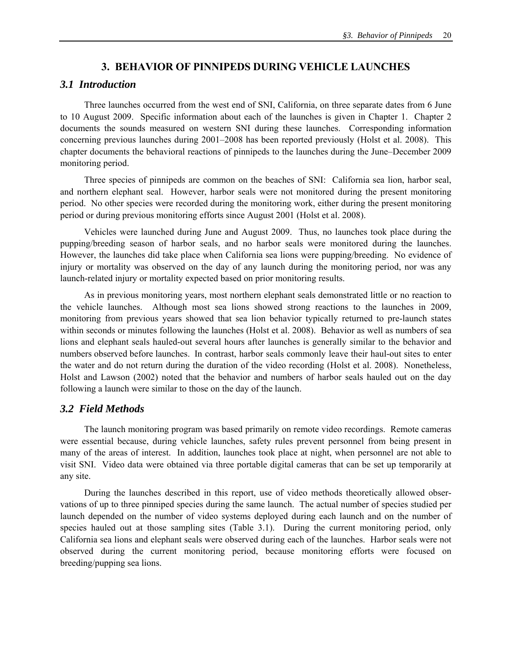## **3. BEHAVIOR OF PINNIPEDS DURING VEHICLE LAUNCHES**

### *3.1 Introduction*

Three launches occurred from the west end of SNI, California, on three separate dates from 6 June to 10 August 2009. Specific information about each of the launches is given in Chapter 1. Chapter 2 documents the sounds measured on western SNI during these launches. Corresponding information concerning previous launches during 2001–2008 has been reported previously (Holst et al. 2008). This chapter documents the behavioral reactions of pinnipeds to the launches during the June–December 2009 monitoring period.

Three species of pinnipeds are common on the beaches of SNI: California sea lion, harbor seal, and northern elephant seal. However, harbor seals were not monitored during the present monitoring period. No other species were recorded during the monitoring work, either during the present monitoring period or during previous monitoring efforts since August 2001 (Holst et al. 2008).

Vehicles were launched during June and August 2009. Thus, no launches took place during the pupping/breeding season of harbor seals, and no harbor seals were monitored during the launches. However, the launches did take place when California sea lions were pupping/breeding. No evidence of injury or mortality was observed on the day of any launch during the monitoring period, nor was any launch-related injury or mortality expected based on prior monitoring results.

 As in previous monitoring years, most northern elephant seals demonstrated little or no reaction to the vehicle launches. Although most sea lions showed strong reactions to the launches in 2009, monitoring from previous years showed that sea lion behavior typically returned to pre-launch states within seconds or minutes following the launches (Holst et al. 2008). Behavior as well as numbers of sea lions and elephant seals hauled-out several hours after launches is generally similar to the behavior and numbers observed before launches. In contrast, harbor seals commonly leave their haul-out sites to enter the water and do not return during the duration of the video recording (Holst et al. 2008). Nonetheless, Holst and Lawson (2002) noted that the behavior and numbers of harbor seals hauled out on the day following a launch were similar to those on the day of the launch.

## *3.2 Field Methods*

 The launch monitoring program was based primarily on remote video recordings. Remote cameras were essential because, during vehicle launches, safety rules prevent personnel from being present in many of the areas of interest. In addition, launches took place at night, when personnel are not able to visit SNI. Video data were obtained via three portable digital cameras that can be set up temporarily at any site.

 During the launches described in this report, use of video methods theoretically allowed observations of up to three pinniped species during the same launch. The actual number of species studied per launch depended on the number of video systems deployed during each launch and on the number of species hauled out at those sampling sites (Table 3.1). During the current monitoring period, only California sea lions and elephant seals were observed during each of the launches. Harbor seals were not observed during the current monitoring period, because monitoring efforts were focused on breeding/pupping sea lions.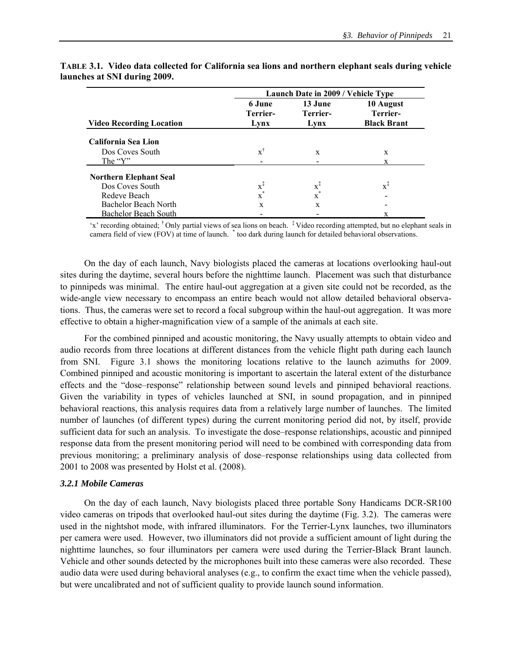|                                 | Launch Date in 2009 / Vehicle Type |                             |                                             |  |  |  |  |  |  |
|---------------------------------|------------------------------------|-----------------------------|---------------------------------------------|--|--|--|--|--|--|
| <b>Video Recording Location</b> | 6 June<br>Terrier-<br>Lynx         | 13 June<br>Terrier-<br>Lynx | 10 August<br>Terrier-<br><b>Black Brant</b> |  |  |  |  |  |  |
| California Sea Lion             |                                    |                             |                                             |  |  |  |  |  |  |
| Dos Coves South                 | $\boldsymbol{x}^{\dagger}$         | X                           | X                                           |  |  |  |  |  |  |
| The "Y"                         |                                    |                             |                                             |  |  |  |  |  |  |
| <b>Northern Elephant Seal</b>   |                                    |                             |                                             |  |  |  |  |  |  |
| Dos Coves South                 | $x^{\ddagger}$                     | $\mathbf{x}^{\ddagger}$     | $x^{\ddagger}$                              |  |  |  |  |  |  |
| Redeve Beach                    | $\mathbf{x}^*$                     | $x^*$                       |                                             |  |  |  |  |  |  |
| Bachelor Beach North            | X                                  | X                           |                                             |  |  |  |  |  |  |
| <b>Bachelor Beach South</b>     |                                    |                             |                                             |  |  |  |  |  |  |

**TABLE 3.1. Video data collected for California sea lions and northern elephant seals during vehicle launches at SNI during 2009.** 

'x' recording obtained; † Only partial views of sea lions on beach. ‡ Video recording attempted, but no elephant seals in camera field of view (FOV) at time of launch. \* too dark during launch for detailed behavioral observations.

On the day of each launch, Navy biologists placed the cameras at locations overlooking haul-out sites during the daytime, several hours before the nighttime launch. Placement was such that disturbance to pinnipeds was minimal. The entire haul-out aggregation at a given site could not be recorded, as the wide-angle view necessary to encompass an entire beach would not allow detailed behavioral observations. Thus, the cameras were set to record a focal subgroup within the haul-out aggregation. It was more effective to obtain a higher-magnification view of a sample of the animals at each site.

For the combined pinniped and acoustic monitoring, the Navy usually attempts to obtain video and audio records from three locations at different distances from the vehicle flight path during each launch from SNI. Figure 3.1 shows the monitoring locations relative to the launch azimuths for 2009. Combined pinniped and acoustic monitoring is important to ascertain the lateral extent of the disturbance effects and the "dose–response" relationship between sound levels and pinniped behavioral reactions. Given the variability in types of vehicles launched at SNI, in sound propagation, and in pinniped behavioral reactions, this analysis requires data from a relatively large number of launches. The limited number of launches (of different types) during the current monitoring period did not, by itself, provide sufficient data for such an analysis. To investigate the dose–response relationships, acoustic and pinniped response data from the present monitoring period will need to be combined with corresponding data from previous monitoring; a preliminary analysis of dose–response relationships using data collected from 2001 to 2008 was presented by Holst et al. (2008).

### *3.2.1 Mobile Cameras*

 On the day of each launch, Navy biologists placed three portable Sony Handicams DCR-SR100 video cameras on tripods that overlooked haul-out sites during the daytime (Fig. 3.2). The cameras were used in the nightshot mode, with infrared illuminators. For the Terrier-Lynx launches, two illuminators per camera were used. However, two illuminators did not provide a sufficient amount of light during the nighttime launches, so four illuminators per camera were used during the Terrier-Black Brant launch. Vehicle and other sounds detected by the microphones built into these cameras were also recorded. These audio data were used during behavioral analyses (e.g., to confirm the exact time when the vehicle passed), but were uncalibrated and not of sufficient quality to provide launch sound information.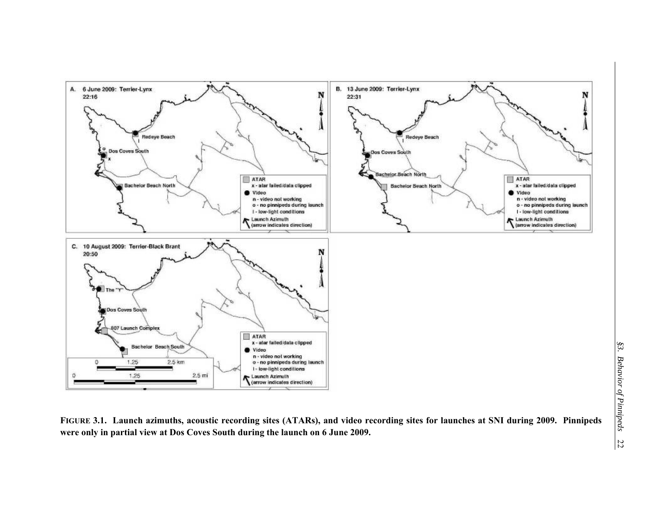

**FIGURE 3.1. Launch azimuths, acoustic recording sites (ATARs), and video recording sites for launches at SNI during 2009. Pinnipeds were only in partial view at Dos Coves South during the launch on 6 June 2009.**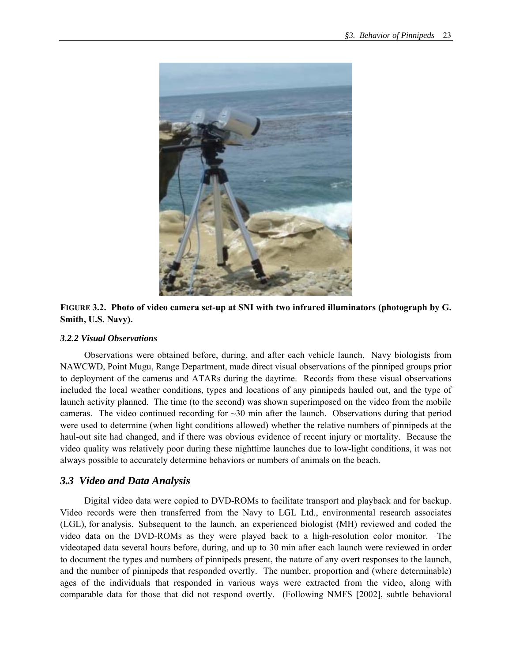

**FIGURE 3.2. Photo of video camera set-up at SNI with two infrared illuminators (photograph by G. Smith, U.S. Navy).** 

### *3.2.2 Visual Observations*

 Observations were obtained before, during, and after each vehicle launch. Navy biologists from NAWCWD, Point Mugu, Range Department, made direct visual observations of the pinniped groups prior to deployment of the cameras and ATARs during the daytime. Records from these visual observations included the local weather conditions, types and locations of any pinnipeds hauled out, and the type of launch activity planned. The time (to the second) was shown superimposed on the video from the mobile cameras. The video continued recording for  $\sim$ 30 min after the launch. Observations during that period were used to determine (when light conditions allowed) whether the relative numbers of pinnipeds at the haul-out site had changed, and if there was obvious evidence of recent injury or mortality. Because the video quality was relatively poor during these nighttime launches due to low-light conditions, it was not always possible to accurately determine behaviors or numbers of animals on the beach.

## *3.3 Video and Data Analysis*

Digital video data were copied to DVD-ROMs to facilitate transport and playback and for backup. Video records were then transferred from the Navy to LGL Ltd., environmental research associates (LGL), for analysis. Subsequent to the launch, an experienced biologist (MH) reviewed and coded the video data on the DVD-ROMs as they were played back to a high-resolution color monitor. The videotaped data several hours before, during, and up to 30 min after each launch were reviewed in order to document the types and numbers of pinnipeds present, the nature of any overt responses to the launch, and the number of pinnipeds that responded overtly. The number, proportion and (where determinable) ages of the individuals that responded in various ways were extracted from the video, along with comparable data for those that did not respond overtly. (Following NMFS [2002], subtle behavioral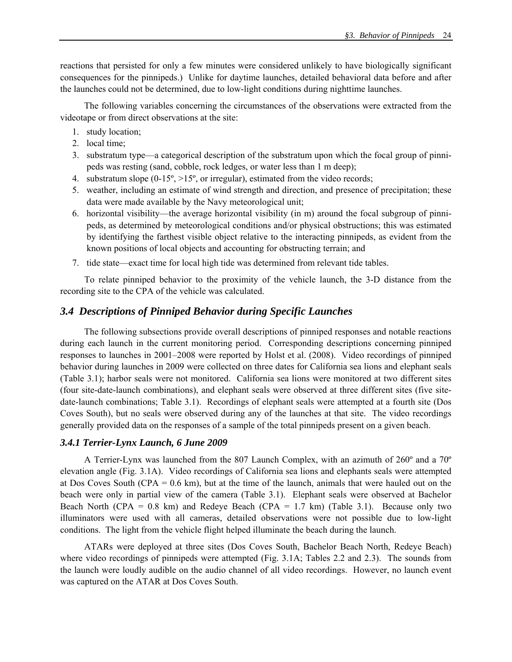reactions that persisted for only a few minutes were considered unlikely to have biologically significant consequences for the pinnipeds.) Unlike for daytime launches, detailed behavioral data before and after the launches could not be determined, due to low-light conditions during nighttime launches.

The following variables concerning the circumstances of the observations were extracted from the videotape or from direct observations at the site:

- 1. study location;
- 2. local time;
- 3. substratum type—a categorical description of the substratum upon which the focal group of pinnipeds was resting (sand, cobble, rock ledges, or water less than 1 m deep);
- 4. substratum slope (0-15º, >15º, or irregular), estimated from the video records;
- 5. weather, including an estimate of wind strength and direction, and presence of precipitation; these data were made available by the Navy meteorological unit;
- 6. horizontal visibility—the average horizontal visibility (in m) around the focal subgroup of pinnipeds, as determined by meteorological conditions and/or physical obstructions; this was estimated by identifying the farthest visible object relative to the interacting pinnipeds, as evident from the known positions of local objects and accounting for obstructing terrain; and
- 7. tide state—exact time for local high tide was determined from relevant tide tables.

To relate pinniped behavior to the proximity of the vehicle launch, the 3-D distance from the recording site to the CPA of the vehicle was calculated.

### *3.4 Descriptions of Pinniped Behavior during Specific Launches*

The following subsections provide overall descriptions of pinniped responses and notable reactions during each launch in the current monitoring period. Corresponding descriptions concerning pinniped responses to launches in 2001–2008 were reported by Holst et al. (2008). Video recordings of pinniped behavior during launches in 2009 were collected on three dates for California sea lions and elephant seals (Table 3.1); harbor seals were not monitored. California sea lions were monitored at two different sites (four site-date-launch combinations), and elephant seals were observed at three different sites (five sitedate-launch combinations; Table 3.1). Recordings of elephant seals were attempted at a fourth site (Dos Coves South), but no seals were observed during any of the launches at that site. The video recordings generally provided data on the responses of a sample of the total pinnipeds present on a given beach.

#### *3.4.1 Terrier-Lynx Launch, 6 June 2009*

A Terrier-Lynx was launched from the 807 Launch Complex, with an azimuth of 260º and a 70º elevation angle (Fig. 3.1A). Video recordings of California sea lions and elephants seals were attempted at Dos Coves South (CPA = 0.6 km), but at the time of the launch, animals that were hauled out on the beach were only in partial view of the camera (Table 3.1). Elephant seals were observed at Bachelor Beach North (CPA =  $0.8 \text{ km}$ ) and Redeye Beach (CPA =  $1.7 \text{ km}$ ) (Table 3.1). Because only two illuminators were used with all cameras, detailed observations were not possible due to low-light conditions. The light from the vehicle flight helped illuminate the beach during the launch.

ATARs were deployed at three sites (Dos Coves South, Bachelor Beach North, Redeye Beach) where video recordings of pinnipeds were attempted (Fig. 3.1A; Tables 2.2 and 2.3). The sounds from the launch were loudly audible on the audio channel of all video recordings. However, no launch event was captured on the ATAR at Dos Coves South.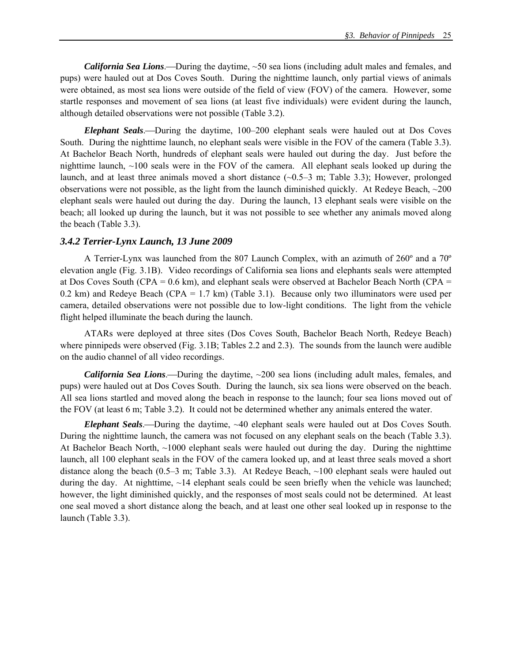*California Sea Lions*.—During the daytime, ~50 sea lions (including adult males and females, and pups) were hauled out at Dos Coves South. During the nighttime launch, only partial views of animals were obtained, as most sea lions were outside of the field of view (FOV) of the camera. However, some startle responses and movement of sea lions (at least five individuals) were evident during the launch, although detailed observations were not possible (Table 3.2).

*Elephant Seals*.—During the daytime, 100–200 elephant seals were hauled out at Dos Coves South. During the nighttime launch, no elephant seals were visible in the FOV of the camera (Table 3.3). At Bachelor Beach North, hundreds of elephant seals were hauled out during the day. Just before the nighttime launch, ~100 seals were in the FOV of the camera. All elephant seals looked up during the launch, and at least three animals moved a short distance (~0.5–3 m; Table 3.3); However, prolonged observations were not possible, as the light from the launch diminished quickly. At Redeye Beach, ~200 elephant seals were hauled out during the day. During the launch, 13 elephant seals were visible on the beach; all looked up during the launch, but it was not possible to see whether any animals moved along the beach (Table 3.3).

#### *3.4.2 Terrier-Lynx Launch, 13 June 2009*

 A Terrier-Lynx was launched from the 807 Launch Complex, with an azimuth of 260º and a 70º elevation angle (Fig. 3.1B). Video recordings of California sea lions and elephants seals were attempted at Dos Coves South (CPA = 0.6 km), and elephant seals were observed at Bachelor Beach North (CPA = 0.2 km) and Redeye Beach (CPA =  $1.7$  km) (Table 3.1). Because only two illuminators were used per camera, detailed observations were not possible due to low-light conditions. The light from the vehicle flight helped illuminate the beach during the launch.

 ATARs were deployed at three sites (Dos Coves South, Bachelor Beach North, Redeye Beach) where pinnipeds were observed (Fig. 3.1B; Tables 2.2 and 2.3). The sounds from the launch were audible on the audio channel of all video recordings.

*California Sea Lions*.—During the daytime, ~200 sea lions (including adult males, females, and pups) were hauled out at Dos Coves South. During the launch, six sea lions were observed on the beach. All sea lions startled and moved along the beach in response to the launch; four sea lions moved out of the FOV (at least 6 m; Table 3.2). It could not be determined whether any animals entered the water.

*Elephant Seals*.—During the daytime, ~40 elephant seals were hauled out at Dos Coves South. During the nighttime launch, the camera was not focused on any elephant seals on the beach (Table 3.3). At Bachelor Beach North,  $\sim$ 1000 elephant seals were hauled out during the day. During the nighttime launch, all 100 elephant seals in the FOV of the camera looked up, and at least three seals moved a short distance along the beach (0.5–3 m; Table 3.3). At Redeye Beach,  $\sim$ 100 elephant seals were hauled out during the day. At nighttime, ~14 elephant seals could be seen briefly when the vehicle was launched; however, the light diminished quickly, and the responses of most seals could not be determined. At least one seal moved a short distance along the beach, and at least one other seal looked up in response to the launch (Table 3.3).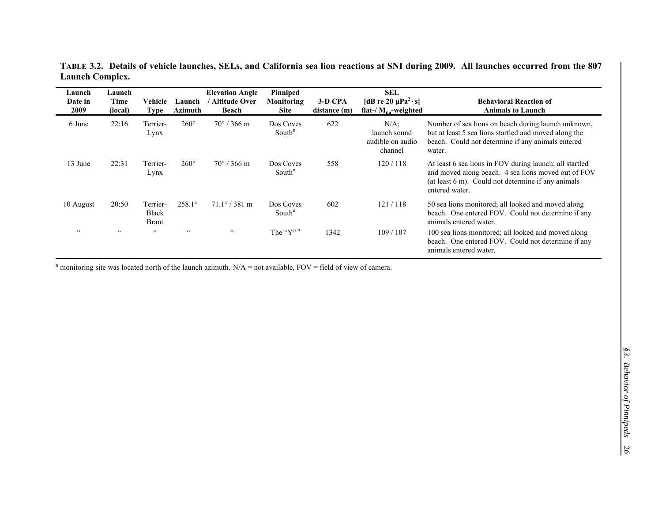| Launch<br>Date in<br>2009 | Launch<br>Time<br>(local) | Vehicle<br><b>Type</b>                   | Launch<br>Azimuth     | <b>Elevation Angle</b><br><b>Altitude Over</b><br>Beach | Pinniped<br>Monitoring<br><b>Site</b> | 3-D CPA<br>distance (m) | <b>SEL</b><br>[dB re 20 $\mu$ Pa <sup>2</sup> ·s]<br>flat-/ $M_{\text{na}}$ -weighted | <b>Behavioral Reaction of</b><br><b>Animals to Launch</b>                                                                                                                              |
|---------------------------|---------------------------|------------------------------------------|-----------------------|---------------------------------------------------------|---------------------------------------|-------------------------|---------------------------------------------------------------------------------------|----------------------------------------------------------------------------------------------------------------------------------------------------------------------------------------|
| 6 June                    | 22:16                     | Terrier-<br>Lynx                         | $260^\circ$           | $70^{\circ}$ / 366 m                                    | Dos Coves<br>South <sup>n</sup>       | 622                     | $N/A$ ;<br>launch sound<br>audible on audio<br>channel                                | Number of sea lions on beach during launch unknown,<br>but at least 5 sea lions startled and moved along the<br>beach. Could not determine if any animals entered<br>water.            |
| 13 June                   | 22:31                     | Terrier-<br>Lynx                         | $260^\circ$           | $70^{\circ}$ / 366 m                                    | Dos Coves<br>South <sup>n</sup>       | 558                     | 120/118                                                                               | At least 6 sea lions in FOV during launch; all startled<br>and moved along beach. 4 sea lions moved out of FOV<br>(at least 6 m). Could not determine if any animals<br>entered water. |
| 10 August                 | 20:50                     | Terrier-<br><b>Black</b><br><b>Brant</b> | $258.1^{\circ}$       | $71.1^{\circ}$ / 381 m                                  | Dos Coves<br>South <sup>n</sup>       | 602                     | 121/118                                                                               | 50 sea lions monitored; all looked and moved along<br>beach. One entered FOV. Could not determine if any<br>animals entered water.                                                     |
| $\zeta$ $\zeta$           | $\epsilon$ $\epsilon$     | $\zeta$ $\zeta$                          | $\epsilon$ $\epsilon$ | $\epsilon$ $\epsilon$                                   | The " $Y$ "                           | 1342                    | 109/107                                                                               | 100 sea lions monitored; all looked and moved along<br>beach. One entered FOV. Could not determine if any<br>animals entered water.                                                    |

**TABLE 3.2. Details of vehicle launches, SELs, and California sea lion reactions at SNI during 2009. All launches occurred from the 807 Launch Complex.** 

<sup>n</sup> monitoring site was located north of the launch azimuth.  $N/A$  = not available, FOV = field of view of camera.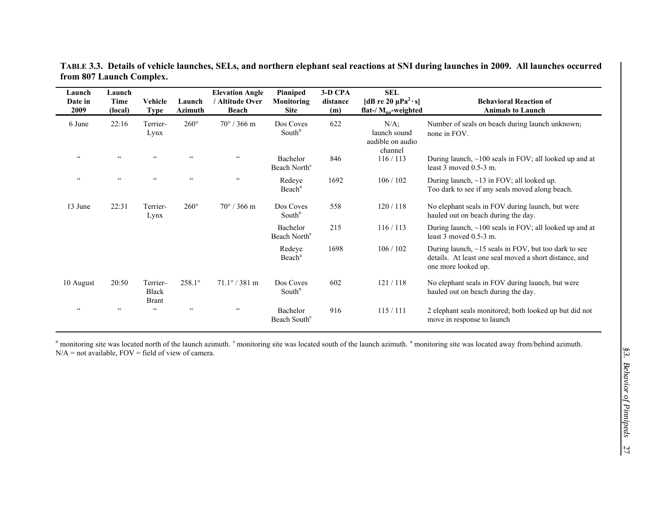| Launch<br>Date in<br>2009 | Launch<br><b>Time</b><br>(local) | Vehicle<br><b>Type</b>                   | Launch<br><b>Azimuth</b> | <b>Elevation Angle</b><br>' Altitude Over<br>Beach | Pinniped<br>Monitoring<br><b>Site</b> | 3-D CPA<br>distance<br>(m) | <b>SEL</b><br>[dB re 20 $\mu$ Pa <sup>2</sup> ·s]<br>flat-/ $M_{pa}$ -weighted | <b>Behavioral Reaction of</b><br><b>Animals to Launch</b>                                                                                   |
|---------------------------|----------------------------------|------------------------------------------|--------------------------|----------------------------------------------------|---------------------------------------|----------------------------|--------------------------------------------------------------------------------|---------------------------------------------------------------------------------------------------------------------------------------------|
| 6 June                    | 22:16                            | Terrier-<br>Lynx                         | $260^\circ$              | $70^{\circ}$ / 366 m                               | Dos Coves<br>South $n$                | 622                        | $N/A$ ;<br>launch sound<br>audible on audio<br>channel                         | Number of seals on beach during launch unknown;<br>none in FOV.                                                                             |
| $\zeta$ $\zeta$           | $\epsilon\, \epsilon$            | $\zeta$ $\zeta$                          | $\zeta$ $\zeta$          | $\epsilon\,\epsilon$                               | Bachelor<br>Beach North <sup>s</sup>  | 846                        | 116/113                                                                        | During launch, $\sim$ 100 seals in FOV; all looked up and at<br>least $3$ moved $0.5-3$ m.                                                  |
| $\epsilon$ $\epsilon$     | $\epsilon\, \epsilon$            | $\zeta$ $\zeta$                          | $\zeta$ $\zeta$          | $\epsilon\,\epsilon$                               | Redeye<br>Beach <sup>a</sup>          | 1692                       | 106/102                                                                        | During launch, $\sim$ 13 in FOV; all looked up.<br>Too dark to see if any seals moved along beach.                                          |
| 13 June                   | 22:31                            | Terrier-<br>Lynx                         | $260^\circ$              | $70^{\circ}$ / 366 m                               | Dos Coves<br>South <sup>n</sup>       | 558                        | 120/118                                                                        | No elephant seals in FOV during launch, but were<br>hauled out on beach during the day.                                                     |
|                           |                                  |                                          |                          |                                                    | Bachelor<br>Beach North <sup>s</sup>  | 215                        | 116/113                                                                        | During launch, $\sim$ 100 seals in FOV; all looked up and at<br>least $3$ moved $0.5-3$ m.                                                  |
|                           |                                  |                                          |                          |                                                    | Redeye<br>Beach <sup>a</sup>          | 1698                       | 106/102                                                                        | During launch, $\sim$ 15 seals in FOV, but too dark to see<br>details. At least one seal moved a short distance, and<br>one more looked up. |
| 10 August                 | 20:50                            | Terrier-<br><b>Black</b><br><b>Brant</b> | $258.1^{\circ}$          | $71.1^{\circ}$ / 381 m                             | Dos Coves<br>South $n$                | 602                        | 121/118                                                                        | No elephant seals in FOV during launch, but were<br>hauled out on beach during the day.                                                     |
| $\zeta$ $\zeta$           | $\epsilon$ $\epsilon$            | $\subset$                                | $\zeta$ $\zeta$          | $\epsilon\epsilon$                                 | Bachelor<br>Beach South <sup>s</sup>  | 916                        | 115/111                                                                        | 2 elephant seals monitored; both looked up but did not<br>move in response to launch                                                        |

**TABLE 3.3. Details of vehicle launches, SELs, and northern elephant seal reactions at SNI during launches in 2009. All launches occurred from 807 Launch Complex.** 

<sup>n</sup> monitoring site was located north of the launch azimuth. <sup>s</sup> monitoring site was located south of the launch azimuth. <sup>a</sup> monitoring site was located away from/behind azimuth.  $N/A$  = not available,  $FOV$  = field of view of camera.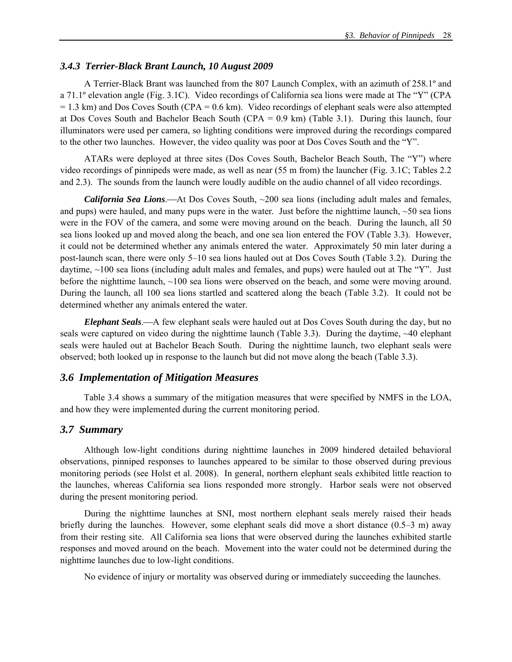### *3.4.3 Terrier-Black Brant Launch, 10 August 2009*

A Terrier-Black Brant was launched from the 807 Launch Complex, with an azimuth of 258.1º and a 71.1º elevation angle (Fig. 3.1C). Video recordings of California sea lions were made at The "Y" (CPA  $= 1.3$  km) and Dos Coves South (CPA  $= 0.6$  km). Video recordings of elephant seals were also attempted at Dos Coves South and Bachelor Beach South (CPA = 0.9 km) (Table 3.1). During this launch, four illuminators were used per camera, so lighting conditions were improved during the recordings compared to the other two launches. However, the video quality was poor at Dos Coves South and the "Y".

ATARs were deployed at three sites (Dos Coves South, Bachelor Beach South, The "Y") where video recordings of pinnipeds were made, as well as near (55 m from) the launcher (Fig. 3.1C; Tables 2.2 and 2.3). The sounds from the launch were loudly audible on the audio channel of all video recordings.

*California Sea Lions.*—At Dos Coves South, ~200 sea lions (including adult males and females, and pups) were hauled, and many pups were in the water. Just before the nighttime launch,  $\sim$  50 sea lions were in the FOV of the camera, and some were moving around on the beach. During the launch, all 50 sea lions looked up and moved along the beach, and one sea lion entered the FOV (Table 3.3). However, it could not be determined whether any animals entered the water. Approximately 50 min later during a post-launch scan, there were only 5–10 sea lions hauled out at Dos Coves South (Table 3.2). During the daytime, ~100 sea lions (including adult males and females, and pups) were hauled out at The "Y". Just before the nighttime launch,  $\sim$ 100 sea lions were observed on the beach, and some were moving around. During the launch, all 100 sea lions startled and scattered along the beach (Table 3.2). It could not be determined whether any animals entered the water.

*Elephant Seals*.—A few elephant seals were hauled out at Dos Coves South during the day, but no seals were captured on video during the nighttime launch (Table 3.3). During the daytime, ~40 elephant seals were hauled out at Bachelor Beach South. During the nighttime launch, two elephant seals were observed; both looked up in response to the launch but did not move along the beach (Table 3.3).

### *3.6 Implementation of Mitigation Measures*

Table 3.4 shows a summary of the mitigation measures that were specified by NMFS in the LOA, and how they were implemented during the current monitoring period.

### *3.7 Summary*

Although low-light conditions during nighttime launches in 2009 hindered detailed behavioral observations, pinniped responses to launches appeared to be similar to those observed during previous monitoring periods (see Holst et al. 2008). In general, northern elephant seals exhibited little reaction to the launches, whereas California sea lions responded more strongly. Harbor seals were not observed during the present monitoring period.

During the nighttime launches at SNI, most northern elephant seals merely raised their heads briefly during the launches. However, some elephant seals did move a short distance (0.5–3 m) away from their resting site. All California sea lions that were observed during the launches exhibited startle responses and moved around on the beach. Movement into the water could not be determined during the nighttime launches due to low-light conditions.

No evidence of injury or mortality was observed during or immediately succeeding the launches.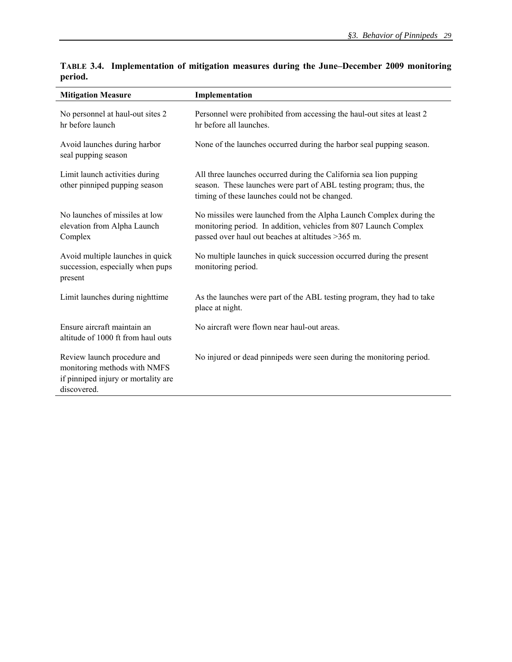| <b>Mitigation Measure</b>                                                                                         | Implementation                                                                                                                                                                              |  |  |  |
|-------------------------------------------------------------------------------------------------------------------|---------------------------------------------------------------------------------------------------------------------------------------------------------------------------------------------|--|--|--|
| No personnel at haul-out sites 2<br>hr before launch                                                              | Personnel were prohibited from accessing the haul-out sites at least 2<br>hr before all launches.                                                                                           |  |  |  |
| Avoid launches during harbor<br>seal pupping season                                                               | None of the launches occurred during the harbor seal pupping season.                                                                                                                        |  |  |  |
| Limit launch activities during<br>other pinniped pupping season                                                   | All three launches occurred during the California sea lion pupping<br>season. These launches were part of ABL testing program; thus, the<br>timing of these launches could not be changed.  |  |  |  |
| No launches of missiles at low<br>elevation from Alpha Launch<br>Complex                                          | No missiles were launched from the Alpha Launch Complex during the<br>monitoring period. In addition, vehicles from 807 Launch Complex<br>passed over haul out beaches at altitudes >365 m. |  |  |  |
| Avoid multiple launches in quick<br>succession, especially when pups<br>present                                   | No multiple launches in quick succession occurred during the present<br>monitoring period.                                                                                                  |  |  |  |
| Limit launches during nighttime                                                                                   | As the launches were part of the ABL testing program, they had to take<br>place at night.                                                                                                   |  |  |  |
| Ensure aircraft maintain an<br>altitude of 1000 ft from haul outs                                                 | No aircraft were flown near haul-out areas.                                                                                                                                                 |  |  |  |
| Review launch procedure and<br>monitoring methods with NMFS<br>if pinniped injury or mortality are<br>discovered. | No injured or dead pinnipeds were seen during the monitoring period.                                                                                                                        |  |  |  |

**TABLE 3.4. Implementation of mitigation measures during the June–December 2009 monitoring period.**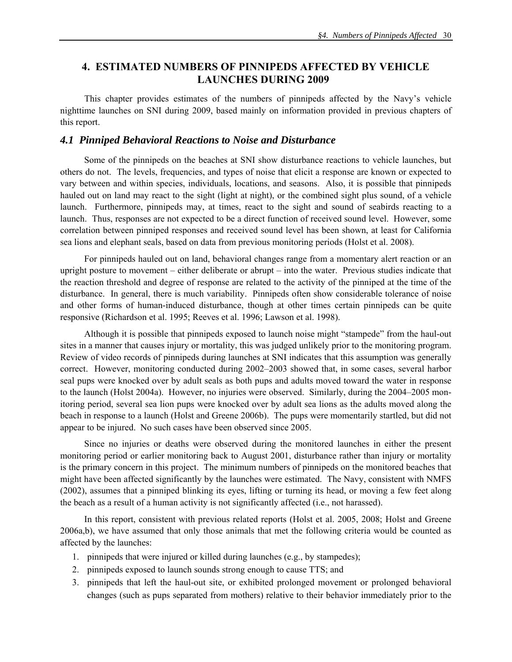## **4. ESTIMATED NUMBERS OF PINNIPEDS AFFECTED BY VEHICLE LAUNCHES DURING 2009**

This chapter provides estimates of the numbers of pinnipeds affected by the Navy's vehicle nighttime launches on SNI during 2009, based mainly on information provided in previous chapters of this report.

## *4.1 Pinniped Behavioral Reactions to Noise and Disturbance*

Some of the pinnipeds on the beaches at SNI show disturbance reactions to vehicle launches, but others do not. The levels, frequencies, and types of noise that elicit a response are known or expected to vary between and within species, individuals, locations, and seasons. Also, it is possible that pinnipeds hauled out on land may react to the sight (light at night), or the combined sight plus sound, of a vehicle launch. Furthermore, pinnipeds may, at times, react to the sight and sound of seabirds reacting to a launch. Thus, responses are not expected to be a direct function of received sound level. However, some correlation between pinniped responses and received sound level has been shown, at least for California sea lions and elephant seals, based on data from previous monitoring periods (Holst et al. 2008).

For pinnipeds hauled out on land, behavioral changes range from a momentary alert reaction or an upright posture to movement – either deliberate or abrupt – into the water. Previous studies indicate that the reaction threshold and degree of response are related to the activity of the pinniped at the time of the disturbance. In general, there is much variability. Pinnipeds often show considerable tolerance of noise and other forms of human-induced disturbance, though at other times certain pinnipeds can be quite responsive (Richardson et al. 1995; Reeves et al. 1996; Lawson et al. 1998).

Although it is possible that pinnipeds exposed to launch noise might "stampede" from the haul-out sites in a manner that causes injury or mortality, this was judged unlikely prior to the monitoring program. Review of video records of pinnipeds during launches at SNI indicates that this assumption was generally correct. However, monitoring conducted during 2002–2003 showed that, in some cases, several harbor seal pups were knocked over by adult seals as both pups and adults moved toward the water in response to the launch (Holst 2004a). However, no injuries were observed. Similarly, during the 2004–2005 monitoring period, several sea lion pups were knocked over by adult sea lions as the adults moved along the beach in response to a launch (Holst and Greene 2006b). The pups were momentarily startled, but did not appear to be injured. No such cases have been observed since 2005.

Since no injuries or deaths were observed during the monitored launches in either the present monitoring period or earlier monitoring back to August 2001, disturbance rather than injury or mortality is the primary concern in this project. The minimum numbers of pinnipeds on the monitored beaches that might have been affected significantly by the launches were estimated. The Navy, consistent with NMFS (2002), assumes that a pinniped blinking its eyes, lifting or turning its head, or moving a few feet along the beach as a result of a human activity is not significantly affected (i.e., not harassed).

In this report, consistent with previous related reports (Holst et al. 2005, 2008; Holst and Greene 2006a,b), we have assumed that only those animals that met the following criteria would be counted as affected by the launches:

- 1. pinnipeds that were injured or killed during launches (e.g., by stampedes);
- 2. pinnipeds exposed to launch sounds strong enough to cause TTS; and
- 3. pinnipeds that left the haul-out site, or exhibited prolonged movement or prolonged behavioral changes (such as pups separated from mothers) relative to their behavior immediately prior to the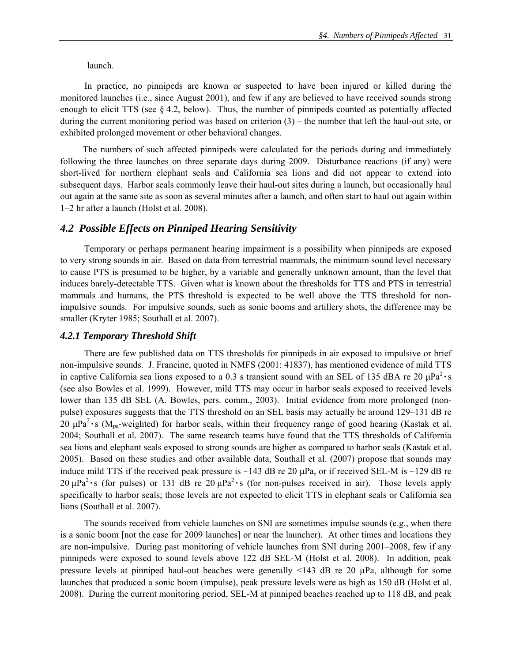launch.

 In practice, no pinnipeds are known or suspected to have been injured or killed during the monitored launches (i.e., since August 2001), and few if any are believed to have received sounds strong enough to elicit TTS (see  $\S 4.2$ , below). Thus, the number of pinnipeds counted as potentially affected during the current monitoring period was based on criterion (3) – the number that left the haul-out site, or exhibited prolonged movement or other behavioral changes.

The numbers of such affected pinnipeds were calculated for the periods during and immediately following the three launches on three separate days during 2009. Disturbance reactions (if any) were short-lived for northern elephant seals and California sea lions and did not appear to extend into subsequent days. Harbor seals commonly leave their haul-out sites during a launch, but occasionally haul out again at the same site as soon as several minutes after a launch, and often start to haul out again within 1–2 hr after a launch (Holst et al. 2008).

#### *4.2 Possible Effects on Pinniped Hearing Sensitivity*

Temporary or perhaps permanent hearing impairment is a possibility when pinnipeds are exposed to very strong sounds in air. Based on data from terrestrial mammals, the minimum sound level necessary to cause PTS is presumed to be higher, by a variable and generally unknown amount, than the level that induces barely-detectable TTS. Given what is known about the thresholds for TTS and PTS in terrestrial mammals and humans, the PTS threshold is expected to be well above the TTS threshold for nonimpulsive sounds. For impulsive sounds, such as sonic booms and artillery shots, the difference may be smaller (Kryter 1985; Southall et al. 2007).

#### *4.2.1 Temporary Threshold Shift*

There are few published data on TTS thresholds for pinnipeds in air exposed to impulsive or brief non-impulsive sounds. J. Francine, quoted in NMFS (2001: 41837), has mentioned evidence of mild TTS in captive California sea lions exposed to a 0.3 s transient sound with an SEL of 135 dBA re 20  $\mu$ Pa<sup>2</sup> · s (see also Bowles et al. 1999). However, mild TTS may occur in harbor seals exposed to received levels lower than 135 dB SEL (A. Bowles, pers. comm., 2003). Initial evidence from more prolonged (nonpulse) exposures suggests that the TTS threshold on an SEL basis may actually be around 129–131 dB re 20  $\mu$ Pa<sup>2</sup> · s (M<sub>pa</sub>-weighted) for harbor seals, within their frequency range of good hearing (Kastak et al. 2004; Southall et al. 2007). The same research teams have found that the TTS thresholds of California sea lions and elephant seals exposed to strong sounds are higher as compared to harbor seals (Kastak et al. 2005). Based on these studies and other available data, Southall et al. (2007) propose that sounds may induce mild TTS if the received peak pressure is  $\sim$ 143 dB re 20  $\mu$ Pa, or if received SEL-M is  $\sim$ 129 dB re 20  $\mu$ Pa<sup>2</sup> • s (for pulses) or 131 dB re 20  $\mu$ Pa<sup>2</sup> • s (for non-pulses received in air). Those levels apply specifically to harbor seals; those levels are not expected to elicit TTS in elephant seals or California sea lions (Southall et al. 2007).

The sounds received from vehicle launches on SNI are sometimes impulse sounds (e.g., when there is a sonic boom [not the case for 2009 launches] or near the launcher). At other times and locations they are non-impulsive. During past monitoring of vehicle launches from SNI during 2001–2008, few if any pinnipeds were exposed to sound levels above 122 dB SEL-M (Holst et al. 2008). In addition, peak pressure levels at pinniped haul-out beaches were generally <143 dB re 20 μPa, although for some launches that produced a sonic boom (impulse), peak pressure levels were as high as 150 dB (Holst et al. 2008). During the current monitoring period, SEL-M at pinniped beaches reached up to 118 dB, and peak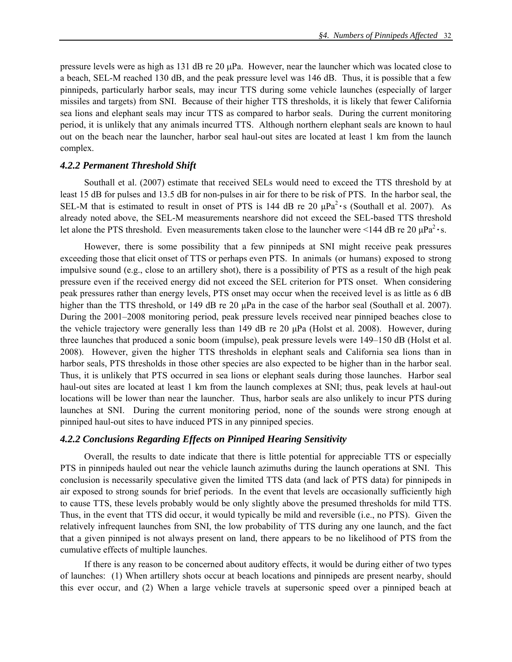pressure levels were as high as 131 dB re 20  $\mu$ Pa. However, near the launcher which was located close to a beach, SEL-M reached 130 dB, and the peak pressure level was 146 dB. Thus, it is possible that a few pinnipeds, particularly harbor seals, may incur TTS during some vehicle launches (especially of larger missiles and targets) from SNI. Because of their higher TTS thresholds, it is likely that fewer California sea lions and elephant seals may incur TTS as compared to harbor seals. During the current monitoring period, it is unlikely that any animals incurred TTS. Although northern elephant seals are known to haul out on the beach near the launcher, harbor seal haul-out sites are located at least 1 km from the launch complex.

#### *4.2.2 Permanent Threshold Shift*

Southall et al. (2007) estimate that received SELs would need to exceed the TTS threshold by at least 15 dB for pulses and 13.5 dB for non-pulses in air for there to be risk of PTS. In the harbor seal, the SEL-M that is estimated to result in onset of PTS is 144 dB re 20 μPa2 **·**s (Southall et al. 2007). As already noted above, the SEL-M measurements nearshore did not exceed the SEL-based TTS threshold let alone the PTS threshold. Even measurements taken close to the launcher were  $\leq$ 144 dB re 20  $\mu$ Pa<sup>2</sup> · s.

However, there is some possibility that a few pinnipeds at SNI might receive peak pressures exceeding those that elicit onset of TTS or perhaps even PTS. In animals (or humans) exposed to strong impulsive sound (e.g., close to an artillery shot), there is a possibility of PTS as a result of the high peak pressure even if the received energy did not exceed the SEL criterion for PTS onset. When considering peak pressures rather than energy levels, PTS onset may occur when the received level is as little as 6 dB higher than the TTS threshold, or 149 dB re 20 μPa in the case of the harbor seal (Southall et al. 2007). During the 2001–2008 monitoring period, peak pressure levels received near pinniped beaches close to the vehicle trajectory were generally less than 149 dB re 20 μPa (Holst et al. 2008). However, during three launches that produced a sonic boom (impulse), peak pressure levels were 149–150 dB (Holst et al. 2008). However, given the higher TTS thresholds in elephant seals and California sea lions than in harbor seals, PTS thresholds in those other species are also expected to be higher than in the harbor seal. Thus, it is unlikely that PTS occurred in sea lions or elephant seals during those launches. Harbor seal haul-out sites are located at least 1 km from the launch complexes at SNI; thus, peak levels at haul-out locations will be lower than near the launcher. Thus, harbor seals are also unlikely to incur PTS during launches at SNI. During the current monitoring period, none of the sounds were strong enough at pinniped haul-out sites to have induced PTS in any pinniped species.

### *4.2.2 Conclusions Regarding Effects on Pinniped Hearing Sensitivity*

Overall, the results to date indicate that there is little potential for appreciable TTS or especially PTS in pinnipeds hauled out near the vehicle launch azimuths during the launch operations at SNI. This conclusion is necessarily speculative given the limited TTS data (and lack of PTS data) for pinnipeds in air exposed to strong sounds for brief periods. In the event that levels are occasionally sufficiently high to cause TTS, these levels probably would be only slightly above the presumed thresholds for mild TTS. Thus, in the event that TTS did occur, it would typically be mild and reversible (i.e., no PTS). Given the relatively infrequent launches from SNI, the low probability of TTS during any one launch, and the fact that a given pinniped is not always present on land, there appears to be no likelihood of PTS from the cumulative effects of multiple launches.

If there is any reason to be concerned about auditory effects, it would be during either of two types of launches: (1) When artillery shots occur at beach locations and pinnipeds are present nearby, should this ever occur, and (2) When a large vehicle travels at supersonic speed over a pinniped beach at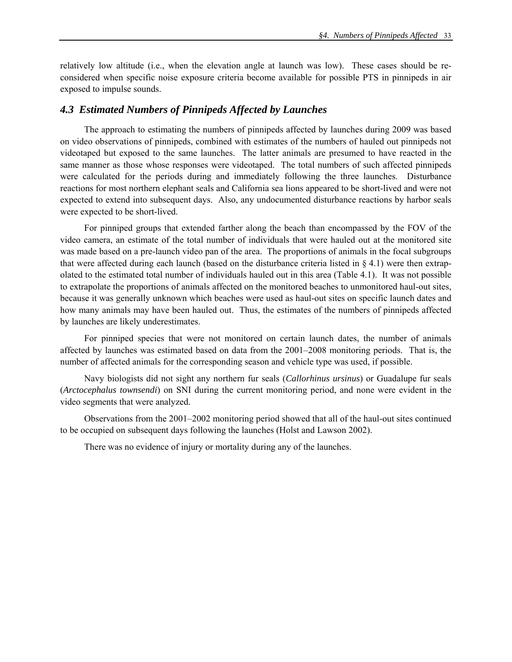relatively low altitude (i.e., when the elevation angle at launch was low). These cases should be reconsidered when specific noise exposure criteria become available for possible PTS in pinnipeds in air exposed to impulse sounds.

### *4.3 Estimated Numbers of Pinnipeds Affected by Launches*

The approach to estimating the numbers of pinnipeds affected by launches during 2009 was based on video observations of pinnipeds, combined with estimates of the numbers of hauled out pinnipeds not videotaped but exposed to the same launches. The latter animals are presumed to have reacted in the same manner as those whose responses were videotaped. The total numbers of such affected pinnipeds were calculated for the periods during and immediately following the three launches. Disturbance reactions for most northern elephant seals and California sea lions appeared to be short-lived and were not expected to extend into subsequent days. Also, any undocumented disturbance reactions by harbor seals were expected to be short-lived.

 For pinniped groups that extended farther along the beach than encompassed by the FOV of the video camera, an estimate of the total number of individuals that were hauled out at the monitored site was made based on a pre-launch video pan of the area. The proportions of animals in the focal subgroups that were affected during each launch (based on the disturbance criteria listed in  $\S 4.1$ ) were then extrapolated to the estimated total number of individuals hauled out in this area (Table 4.1). It was not possible to extrapolate the proportions of animals affected on the monitored beaches to unmonitored haul-out sites, because it was generally unknown which beaches were used as haul-out sites on specific launch dates and how many animals may have been hauled out. Thus, the estimates of the numbers of pinnipeds affected by launches are likely underestimates.

 For pinniped species that were not monitored on certain launch dates, the number of animals affected by launches was estimated based on data from the 2001–2008 monitoring periods. That is, the number of affected animals for the corresponding season and vehicle type was used, if possible.

Navy biologists did not sight any northern fur seals (*Callorhinus ursinus*) or Guadalupe fur seals (*Arctocephalus townsendi*) on SNI during the current monitoring period, and none were evident in the video segments that were analyzed.

Observations from the 2001–2002 monitoring period showed that all of the haul-out sites continued to be occupied on subsequent days following the launches (Holst and Lawson 2002).

There was no evidence of injury or mortality during any of the launches.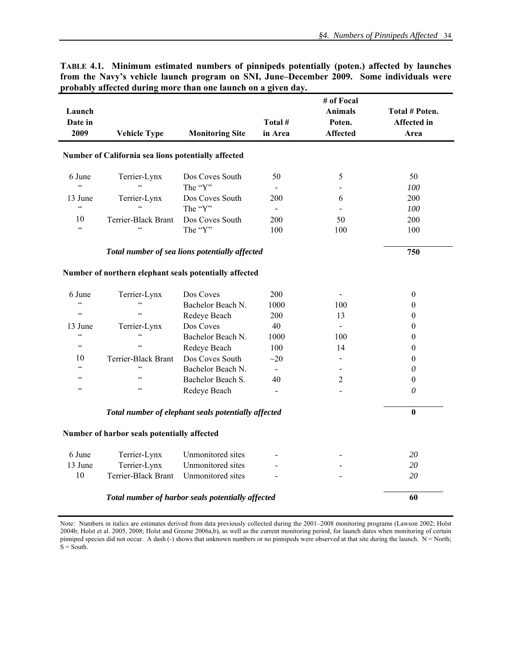| Launch<br>Date in<br>2009                                    | <b>Vehicle Type</b>                                    | <b>Monitoring Site</b>     | Total #<br>in Area       | # of Focal<br><b>Animals</b><br>Poten.<br><b>Affected</b> | Total # Poten.<br><b>Affected</b> in<br>Area |
|--------------------------------------------------------------|--------------------------------------------------------|----------------------------|--------------------------|-----------------------------------------------------------|----------------------------------------------|
|                                                              | Number of California sea lions potentially affected    |                            |                          |                                                           |                                              |
| 6 June<br>$\epsilon$                                         | Terrier-Lynx<br>$\epsilon$                             | Dos Coves South<br>The "Y" | 50                       | 5                                                         | 50<br>100                                    |
| 13 June<br>$\zeta\,\zeta$                                    | Terrier-Lynx<br>$\epsilon$                             | Dos Coves South<br>The "Y" | 200                      | 6                                                         | 200<br>100                                   |
| 10<br>$\boldsymbol{\varsigma}$ $\boldsymbol{\varsigma}$      | Terrier-Black Brant<br>$\epsilon$                      | Dos Coves South<br>The "Y" | 200<br>100               | 50<br>100                                                 | 200<br>100                                   |
|                                                              | 750                                                    |                            |                          |                                                           |                                              |
|                                                              | Number of northern elephant seals potentially affected |                            |                          |                                                           |                                              |
| 6 June                                                       | Terrier-Lynx                                           | Dos Coves                  | 200                      |                                                           | $\boldsymbol{0}$                             |
| $\epsilon$<br>$\zeta\,\zeta$                                 | $\mathfrak{c}\mathfrak{c}$<br>$\epsilon$               | Bachelor Beach N.          | 1000                     | 100                                                       | $\theta$                                     |
|                                                              |                                                        | Redeye Beach               | 200                      | 13                                                        | $\theta$                                     |
| 13 June<br>$\boldsymbol{\varsigma}$ $\boldsymbol{\varsigma}$ | Terrier-Lynx<br>$\overline{\mathbf{c}}$                | Dos Coves                  | 40                       | $\blacksquare$                                            | $\boldsymbol{0}$                             |
| $\zeta\,\zeta$                                               | $\epsilon$                                             | Bachelor Beach N.          | 1000                     | 100                                                       | $\boldsymbol{0}$                             |
|                                                              |                                                        | Redeye Beach               | 100                      | 14                                                        | $\boldsymbol{0}$                             |
| 10                                                           | Terrier-Black Brant<br>$\epsilon$                      | Dos Coves South            | $\sim$ 20                |                                                           | $\boldsymbol{0}$                             |
| $\zeta$ $\zeta$                                              |                                                        | Bachelor Beach N.          | $\overline{a}$           | $\overline{a}$                                            | $\theta$                                     |
| $\mathsf{c}\,\mathsf{c}$                                     | $\mathsf{c}\,\mathsf{c}$                               | Bachelor Beach S.          | 40                       | $\overline{2}$                                            | $\theta$                                     |
| $\mathsf{c}\,\mathsf{c}$                                     | $\mathsf{c}\,\mathsf{c}$                               | Redeye Beach               | $\overline{\phantom{0}}$ |                                                           | $\theta$                                     |
|                                                              | $\bf{0}$                                               |                            |                          |                                                           |                                              |
|                                                              | Number of harbor seals potentially affected            |                            |                          |                                                           |                                              |
| 6 June                                                       | Terrier-Lynx                                           | Unmonitored sites          |                          |                                                           | 20                                           |
| 13 June                                                      | Terrier-Lynx                                           | Unmonitored sites          |                          |                                                           | 20                                           |
| 10                                                           | Terrier-Black Brant                                    | Unmonitored sites          |                          |                                                           | 20                                           |
|                                                              | 60                                                     |                            |                          |                                                           |                                              |

**TABLE 4.1. Minimum estimated numbers of pinnipeds potentially (poten.) affected by launches from the Navy's vehicle launch program on SNI, June–December 2009. Some individuals were**  probably affected during more than one launch on a given day.

Note: Numbers in italics are estimates derived from data previously collected during the 2001–2008 monitoring programs (Lawson 2002; Holst 2004b; Holst et al. 2005, 2008; Holst and Greene 2006a,b), as well as the current monitoring period, for launch dates when monitoring of certain pinniped species did not occur. A dash (-) shows that unknown numbers or no pinnipeds were observed at that site during the launch.  $N = North$ ;  $S =$  South.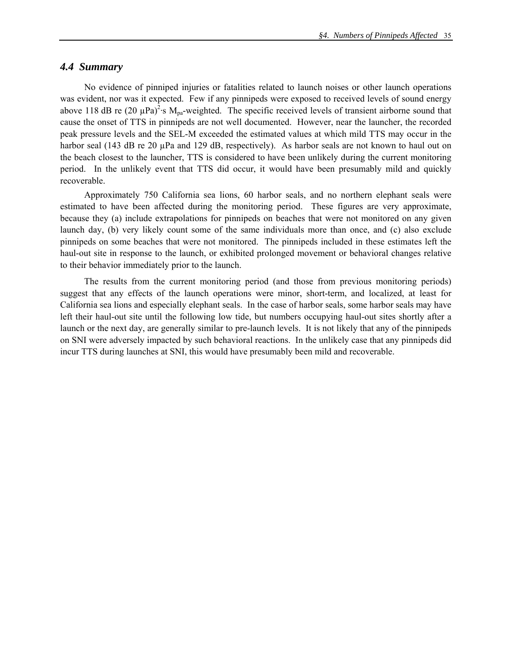## *4.4 Summary*

No evidence of pinniped injuries or fatalities related to launch noises or other launch operations was evident, nor was it expected. Few if any pinnipeds were exposed to received levels of sound energy above 118 dB re (20  $\mu$ Pa)<sup>2</sup>·s M<sub>pa</sub>-weighted. The specific received levels of transient airborne sound that cause the onset of TTS in pinnipeds are not well documented. However, near the launcher, the recorded peak pressure levels and the SEL-M exceeded the estimated values at which mild TTS may occur in the harbor seal (143 dB re 20 µPa and 129 dB, respectively). As harbor seals are not known to haul out on the beach closest to the launcher, TTS is considered to have been unlikely during the current monitoring period. In the unlikely event that TTS did occur, it would have been presumably mild and quickly recoverable.

Approximately 750 California sea lions, 60 harbor seals, and no northern elephant seals were estimated to have been affected during the monitoring period. These figures are very approximate, because they (a) include extrapolations for pinnipeds on beaches that were not monitored on any given launch day, (b) very likely count some of the same individuals more than once, and (c) also exclude pinnipeds on some beaches that were not monitored. The pinnipeds included in these estimates left the haul-out site in response to the launch, or exhibited prolonged movement or behavioral changes relative to their behavior immediately prior to the launch.

The results from the current monitoring period (and those from previous monitoring periods) suggest that any effects of the launch operations were minor, short-term, and localized, at least for California sea lions and especially elephant seals. In the case of harbor seals, some harbor seals may have left their haul-out site until the following low tide, but numbers occupying haul-out sites shortly after a launch or the next day, are generally similar to pre-launch levels. It is not likely that any of the pinnipeds on SNI were adversely impacted by such behavioral reactions. In the unlikely case that any pinnipeds did incur TTS during launches at SNI, this would have presumably been mild and recoverable.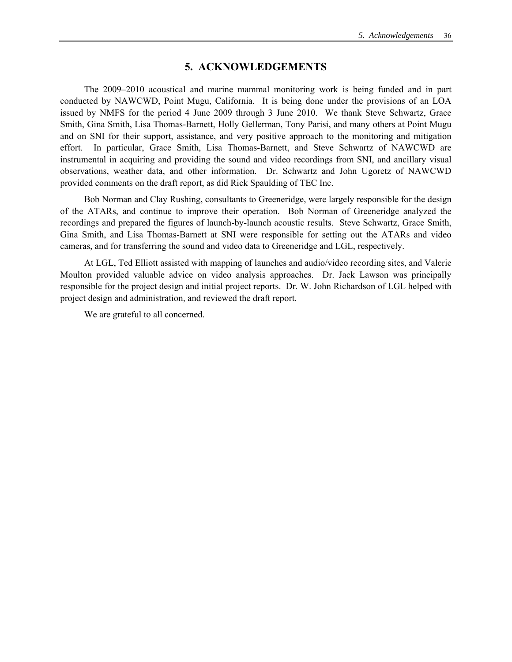### **5. ACKNOWLEDGEMENTS**

The 2009–2010 acoustical and marine mammal monitoring work is being funded and in part conducted by NAWCWD, Point Mugu, California. It is being done under the provisions of an LOA issued by NMFS for the period 4 June 2009 through 3 June 2010. We thank Steve Schwartz, Grace Smith, Gina Smith, Lisa Thomas-Barnett, Holly Gellerman, Tony Parisi, and many others at Point Mugu and on SNI for their support, assistance, and very positive approach to the monitoring and mitigation effort. In particular, Grace Smith, Lisa Thomas-Barnett, and Steve Schwartz of NAWCWD are instrumental in acquiring and providing the sound and video recordings from SNI, and ancillary visual observations, weather data, and other information. Dr. Schwartz and John Ugoretz of NAWCWD provided comments on the draft report, as did Rick Spaulding of TEC Inc.

Bob Norman and Clay Rushing, consultants to Greeneridge, were largely responsible for the design of the ATARs, and continue to improve their operation. Bob Norman of Greeneridge analyzed the recordings and prepared the figures of launch-by-launch acoustic results. Steve Schwartz, Grace Smith, Gina Smith, and Lisa Thomas-Barnett at SNI were responsible for setting out the ATARs and video cameras, and for transferring the sound and video data to Greeneridge and LGL, respectively.

 At LGL, Ted Elliott assisted with mapping of launches and audio/video recording sites, and Valerie Moulton provided valuable advice on video analysis approaches. Dr. Jack Lawson was principally responsible for the project design and initial project reports. Dr. W. John Richardson of LGL helped with project design and administration, and reviewed the draft report.

We are grateful to all concerned.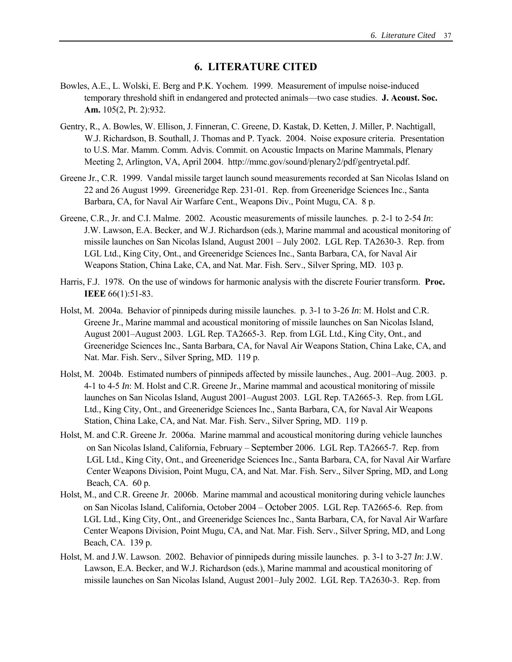## **6. LITERATURE CITED**

- Bowles, A.E., L. Wolski, E. Berg and P.K. Yochem. 1999. Measurement of impulse noise-induced temporary threshold shift in endangered and protected animals—two case studies. **J. Acoust. Soc. Am.** 105(2, Pt. 2):932.
- Gentry, R., A. Bowles, W. Ellison, J. Finneran, C. Greene, D. Kastak, D. Ketten, J. Miller, P. Nachtigall, W.J. Richardson, B. Southall, J. Thomas and P. Tyack. 2004. Noise exposure criteria. Presentation to U.S. Mar. Mamm. Comm. Advis. Commit. on Acoustic Impacts on Marine Mammals, Plenary Meeting 2, Arlington, VA, April 2004. http://mmc.gov/sound/plenary2/pdf/gentryetal.pdf.
- Greene Jr., C.R. 1999. Vandal missile target launch sound measurements recorded at San Nicolas Island on 22 and 26 August 1999. Greeneridge Rep. 231-01. Rep. from Greeneridge Sciences Inc., Santa Barbara, CA, for Naval Air Warfare Cent., Weapons Div., Point Mugu, CA. 8 p.
- Greene, C.R., Jr. and C.I. Malme. 2002. Acoustic measurements of missile launches. p. 2-1 to 2-54 *In*: J.W. Lawson, E.A. Becker, and W.J. Richardson (eds.), Marine mammal and acoustical monitoring of missile launches on San Nicolas Island, August 2001 – July 2002. LGL Rep. TA2630-3. Rep. from LGL Ltd., King City, Ont., and Greeneridge Sciences Inc., Santa Barbara, CA, for Naval Air Weapons Station, China Lake, CA, and Nat. Mar. Fish. Serv., Silver Spring, MD. 103 p.
- Harris, F.J. 1978. On the use of windows for harmonic analysis with the discrete Fourier transform. **Proc. IEEE** 66(1):51-83.
- Holst, M. 2004a. Behavior of pinnipeds during missile launches. p. 3-1 to 3-26 *In*: M. Holst and C.R. Greene Jr., Marine mammal and acoustical monitoring of missile launches on San Nicolas Island, August 2001–August 2003. LGL Rep. TA2665-3. Rep. from LGL Ltd., King City, Ont., and Greeneridge Sciences Inc., Santa Barbara, CA, for Naval Air Weapons Station, China Lake, CA, and Nat. Mar. Fish. Serv., Silver Spring, MD. 119 p.
- Holst, M. 2004b. Estimated numbers of pinnipeds affected by missile launches., Aug. 2001–Aug. 2003. p. 4-1 to 4-5 *In*: M. Holst and C.R. Greene Jr., Marine mammal and acoustical monitoring of missile launches on San Nicolas Island, August 2001–August 2003. LGL Rep. TA2665-3. Rep. from LGL Ltd., King City, Ont., and Greeneridge Sciences Inc., Santa Barbara, CA, for Naval Air Weapons Station, China Lake, CA, and Nat. Mar. Fish. Serv., Silver Spring, MD. 119 p.
- Holst, M. and C.R. Greene Jr. 2006a. Marine mammal and acoustical monitoring during vehicle launches on San Nicolas Island, California, February – September 2006. LGL Rep. TA2665-7. Rep. from LGL Ltd., King City, Ont., and Greeneridge Sciences Inc., Santa Barbara, CA, for Naval Air Warfare Center Weapons Division, Point Mugu, CA, and Nat. Mar. Fish. Serv., Silver Spring, MD, and Long Beach, CA. 60 p.
- Holst, M., and C.R. Greene Jr. 2006b. Marine mammal and acoustical monitoring during vehicle launches on San Nicolas Island, California, October 2004 – October 2005. LGL Rep. TA2665-6. Rep. from LGL Ltd., King City, Ont., and Greeneridge Sciences Inc., Santa Barbara, CA, for Naval Air Warfare Center Weapons Division, Point Mugu, CA, and Nat. Mar. Fish. Serv., Silver Spring, MD, and Long Beach, CA. 139 p.
- Holst, M. and J.W. Lawson. 2002. Behavior of pinnipeds during missile launches. p. 3-1 to 3-27 *In*: J.W. Lawson, E.A. Becker, and W.J. Richardson (eds.), Marine mammal and acoustical monitoring of missile launches on San Nicolas Island, August 2001–July 2002. LGL Rep. TA2630-3. Rep. from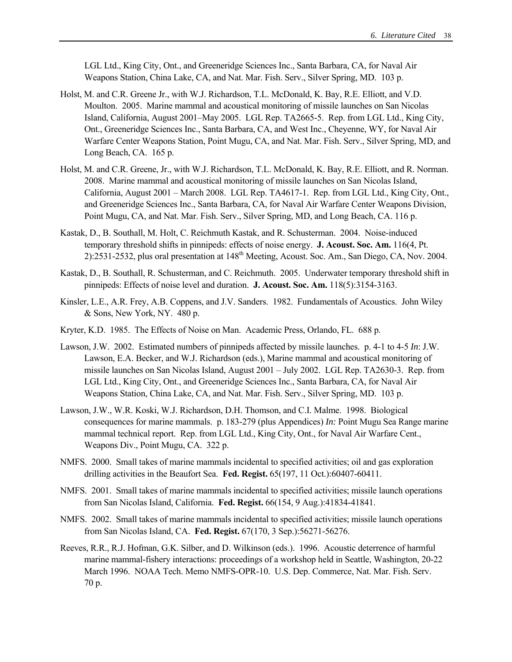LGL Ltd., King City, Ont., and Greeneridge Sciences Inc., Santa Barbara, CA, for Naval Air Weapons Station, China Lake, CA, and Nat. Mar. Fish. Serv., Silver Spring, MD. 103 p.

- Holst, M. and C.R. Greene Jr., with W.J. Richardson, T.L. McDonald, K. Bay, R.E. Elliott, and V.D. Moulton. 2005. Marine mammal and acoustical monitoring of missile launches on San Nicolas Island, California, August 2001–May 2005. LGL Rep. TA2665-5. Rep. from LGL Ltd., King City, Ont., Greeneridge Sciences Inc., Santa Barbara, CA, and West Inc., Cheyenne, WY, for Naval Air Warfare Center Weapons Station, Point Mugu, CA, and Nat. Mar. Fish. Serv., Silver Spring, MD, and Long Beach, CA. 165 p.
- Holst, M. and C.R. Greene, Jr., with W.J. Richardson, T.L. McDonald, K. Bay, R.E. Elliott, and R. Norman. 2008. Marine mammal and acoustical monitoring of missile launches on San Nicolas Island, California, August 2001 – March 2008. LGL Rep. TA4617-1. Rep. from LGL Ltd., King City, Ont., and Greeneridge Sciences Inc., Santa Barbara, CA, for Naval Air Warfare Center Weapons Division, Point Mugu, CA, and Nat. Mar. Fish. Serv., Silver Spring, MD, and Long Beach, CA. 116 p.
- Kastak, D., B. Southall, M. Holt, C. Reichmuth Kastak, and R. Schusterman. 2004. Noise-induced temporary threshold shifts in pinnipeds: effects of noise energy. **J. Acoust. Soc. Am.** 116(4, Pt. 2):2531-2532, plus oral presentation at 148th Meeting, Acoust. Soc. Am., San Diego, CA, Nov. 2004.
- Kastak, D., B. Southall, R. Schusterman, and C. Reichmuth. 2005. Underwater temporary threshold shift in pinnipeds: Effects of noise level and duration. **J. Acoust. Soc. Am.** 118(5):3154-3163.
- Kinsler, L.E., A.R. Frey, A.B. Coppens, and J.V. Sanders. 1982. Fundamentals of Acoustics. John Wiley & Sons, New York, NY. 480 p.
- Kryter, K.D. 1985. The Effects of Noise on Man. Academic Press, Orlando, FL. 688 p.
- Lawson, J.W. 2002. Estimated numbers of pinnipeds affected by missile launches. p. 4-1 to 4-5 *In*: J.W. Lawson, E.A. Becker, and W.J. Richardson (eds.), Marine mammal and acoustical monitoring of missile launches on San Nicolas Island, August 2001 – July 2002. LGL Rep. TA2630-3. Rep. from LGL Ltd., King City, Ont., and Greeneridge Sciences Inc., Santa Barbara, CA, for Naval Air Weapons Station, China Lake, CA, and Nat. Mar. Fish. Serv., Silver Spring, MD. 103 p.
- Lawson, J.W., W.R. Koski, W.J. Richardson, D.H. Thomson, and C.I. Malme. 1998. Biological consequences for marine mammals. p. 183-279 (plus Appendices) *In:* Point Mugu Sea Range marine mammal technical report. Rep. from LGL Ltd., King City, Ont., for Naval Air Warfare Cent., Weapons Div., Point Mugu, CA. 322 p.
- NMFS. 2000. Small takes of marine mammals incidental to specified activities; oil and gas exploration drilling activities in the Beaufort Sea. **Fed. Regist.** 65(197, 11 Oct.):60407-60411.
- NMFS. 2001. Small takes of marine mammals incidental to specified activities; missile launch operations from San Nicolas Island, California. **Fed. Regist.** 66(154, 9 Aug.):41834-41841.
- NMFS. 2002. Small takes of marine mammals incidental to specified activities; missile launch operations from San Nicolas Island, CA. **Fed. Regist.** 67(170, 3 Sep.):56271-56276.
- Reeves, R.R., R.J. Hofman, G.K. Silber, and D. Wilkinson (eds.). 1996. Acoustic deterrence of harmful marine mammal-fishery interactions: proceedings of a workshop held in Seattle, Washington, 20-22 March 1996. NOAA Tech. Memo NMFS-OPR-10. U.S. Dep. Commerce, Nat. Mar. Fish. Serv. 70 p.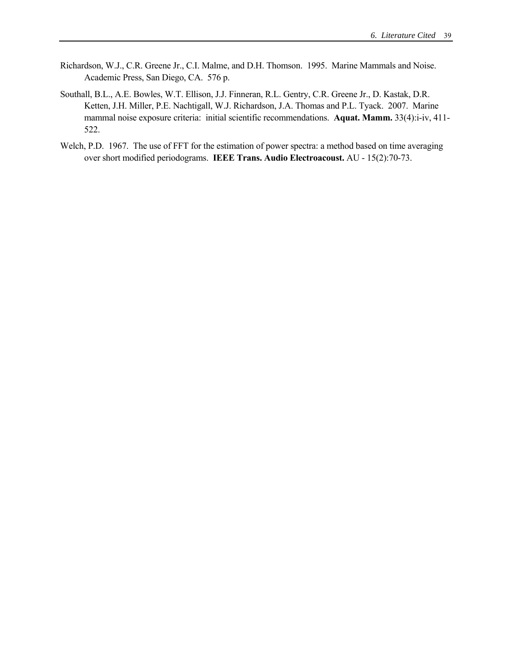- Richardson, W.J., C.R. Greene Jr., C.I. Malme, and D.H. Thomson. 1995. Marine Mammals and Noise. Academic Press, San Diego, CA. 576 p.
- Southall, B.L., A.E. Bowles, W.T. Ellison, J.J. Finneran, R.L. Gentry, C.R. Greene Jr., D. Kastak, D.R. Ketten, J.H. Miller, P.E. Nachtigall, W.J. Richardson, J.A. Thomas and P.L. Tyack. 2007. Marine mammal noise exposure criteria: initial scientific recommendations. **Aquat. Mamm.** 33(4):i-iv, 411- 522.
- Welch, P.D. 1967. The use of FFT for the estimation of power spectra: a method based on time averaging over short modified periodograms. **IEEE Trans. Audio Electroacoust.** AU - 15(2):70-73.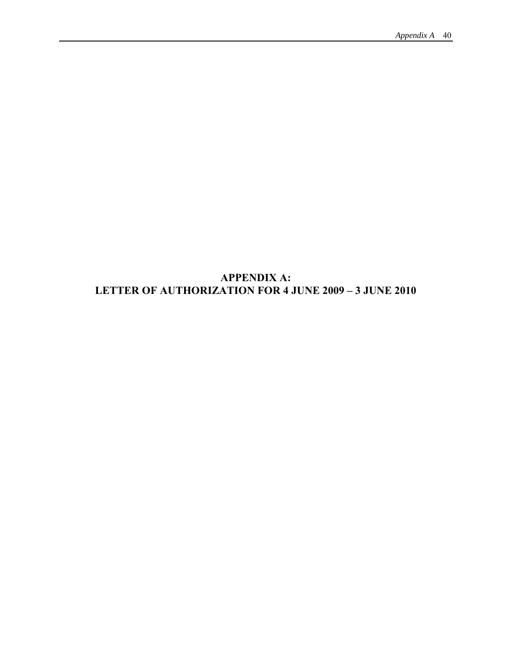## **APPENDIX A: LETTER OF AUTHORIZATION FOR 4 JUNE 2009 – 3 JUNE 2010**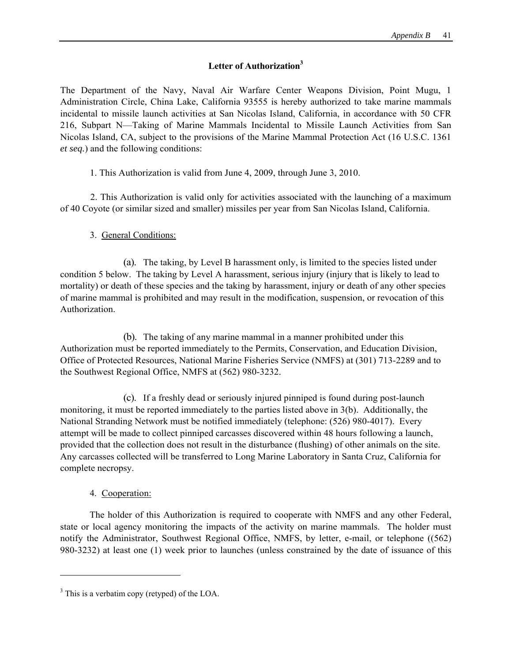## **Letter of Authorization3**

The Department of the Navy, Naval Air Warfare Center Weapons Division, Point Mugu, 1 Administration Circle, China Lake, California 93555 is hereby authorized to take marine mammals incidental to missile launch activities at San Nicolas Island, California, in accordance with 50 CFR 216, Subpart N—Taking of Marine Mammals Incidental to Missile Launch Activities from San Nicolas Island, CA, subject to the provisions of the Marine Mammal Protection Act (16 U.S.C. 1361 *et seq.*) and the following conditions:

1. This Authorization is valid from June 4, 2009, through June 3, 2010.

2. This Authorization is valid only for activities associated with the launching of a maximum of 40 Coyote (or similar sized and smaller) missiles per year from San Nicolas Island, California.

## 3. General Conditions:

(a). The taking, by Level B harassment only, is limited to the species listed under condition 5 below. The taking by Level A harassment, serious injury (injury that is likely to lead to mortality) or death of these species and the taking by harassment, injury or death of any other species of marine mammal is prohibited and may result in the modification, suspension, or revocation of this Authorization.

(b). The taking of any marine mammal in a manner prohibited under this Authorization must be reported immediately to the Permits, Conservation, and Education Division, Office of Protected Resources, National Marine Fisheries Service (NMFS) at (301) 713-2289 and to the Southwest Regional Office, NMFS at (562) 980-3232.

(c). If a freshly dead or seriously injured pinniped is found during post-launch monitoring, it must be reported immediately to the parties listed above in 3(b). Additionally, the National Stranding Network must be notified immediately (telephone: (526) 980-4017). Every attempt will be made to collect pinniped carcasses discovered within 48 hours following a launch, provided that the collection does not result in the disturbance (flushing) of other animals on the site. Any carcasses collected will be transferred to Long Marine Laboratory in Santa Cruz, California for complete necropsy.

### 4. Cooperation:

 $\overline{a}$ 

The holder of this Authorization is required to cooperate with NMFS and any other Federal, state or local agency monitoring the impacts of the activity on marine mammals. The holder must notify the Administrator, Southwest Regional Office, NMFS, by letter, e-mail, or telephone ((562) 980-3232) at least one (1) week prior to launches (unless constrained by the date of issuance of this

<sup>&</sup>lt;sup>3</sup> This is a verbatim copy (retyped) of the LOA.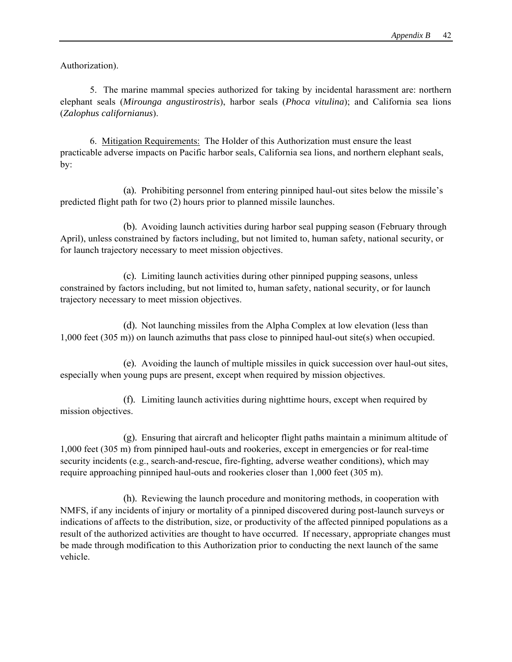Authorization).

5. The marine mammal species authorized for taking by incidental harassment are: northern elephant seals (*Mirounga angustirostris*), harbor seals (*Phoca vitulina*); and California sea lions (*Zalophus californianus*).

6. Mitigation Requirements: The Holder of this Authorization must ensure the least practicable adverse impacts on Pacific harbor seals, California sea lions, and northern elephant seals, by:

(a). Prohibiting personnel from entering pinniped haul-out sites below the missile's predicted flight path for two (2) hours prior to planned missile launches.

(b). Avoiding launch activities during harbor seal pupping season (February through April), unless constrained by factors including, but not limited to, human safety, national security, or for launch trajectory necessary to meet mission objectives.

(c). Limiting launch activities during other pinniped pupping seasons, unless constrained by factors including, but not limited to, human safety, national security, or for launch trajectory necessary to meet mission objectives.

(d). Not launching missiles from the Alpha Complex at low elevation (less than 1,000 feet (305 m)) on launch azimuths that pass close to pinniped haul-out site(s) when occupied.

(e). Avoiding the launch of multiple missiles in quick succession over haul-out sites, especially when young pups are present, except when required by mission objectives.

(f). Limiting launch activities during nighttime hours, except when required by mission objectives.

(g). Ensuring that aircraft and helicopter flight paths maintain a minimum altitude of 1,000 feet (305 m) from pinniped haul-outs and rookeries, except in emergencies or for real-time security incidents (e.g., search-and-rescue, fire-fighting, adverse weather conditions), which may require approaching pinniped haul-outs and rookeries closer than 1,000 feet (305 m).

(h). Reviewing the launch procedure and monitoring methods, in cooperation with NMFS, if any incidents of injury or mortality of a pinniped discovered during post-launch surveys or indications of affects to the distribution, size, or productivity of the affected pinniped populations as a result of the authorized activities are thought to have occurred. If necessary, appropriate changes must be made through modification to this Authorization prior to conducting the next launch of the same vehicle.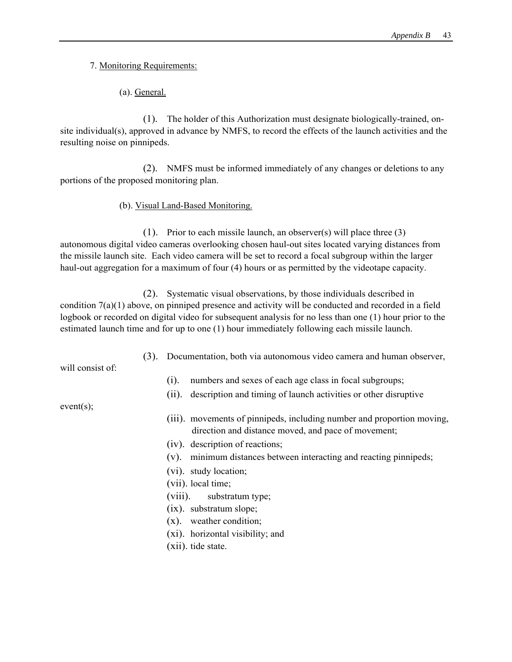7. Monitoring Requirements:

(a). General.

(1). The holder of this Authorization must designate biologically-trained, onsite individual(s), approved in advance by NMFS, to record the effects of the launch activities and the resulting noise on pinnipeds.

(2). NMFS must be informed immediately of any changes or deletions to any portions of the proposed monitoring plan.

(b). Visual Land-Based Monitoring.

(1). Prior to each missile launch, an observer(s) will place three (3) autonomous digital video cameras overlooking chosen haul-out sites located varying distances from the missile launch site. Each video camera will be set to record a focal subgroup within the larger haul-out aggregation for a maximum of four (4) hours or as permitted by the videotape capacity.

(2). Systematic visual observations, by those individuals described in condition 7(a)(1) above, on pinniped presence and activity will be conducted and recorded in a field logbook or recorded on digital video for subsequent analysis for no less than one (1) hour prior to the estimated launch time and for up to one (1) hour immediately following each missile launch.

(3). Documentation, both via autonomous video camera and human observer,

will consist of:

- (i). numbers and sexes of each age class in focal subgroups;
- (ii). description and timing of launch activities or other disruptive

event(s);

- (iii). movements of pinnipeds, including number and proportion moving, direction and distance moved, and pace of movement;
- (iv). description of reactions;
- (v). minimum distances between interacting and reacting pinnipeds;
- (vi). study location;
- (vii). local time;
- (viii). substratum type;
- (ix). substratum slope;
- (x). weather condition;
- (xi). horizontal visibility; and
- (xii). tide state.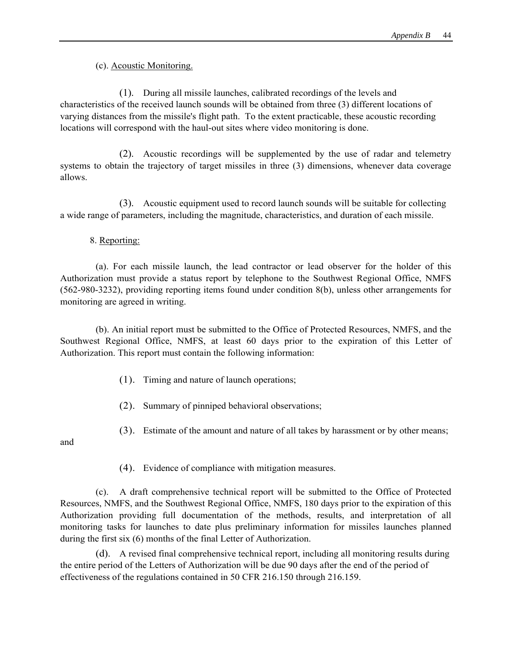(c). Acoustic Monitoring.

(1). During all missile launches, calibrated recordings of the levels and characteristics of the received launch sounds will be obtained from three (3) different locations of varying distances from the missile's flight path. To the extent practicable, these acoustic recording locations will correspond with the haul-out sites where video monitoring is done.

(2). Acoustic recordings will be supplemented by the use of radar and telemetry systems to obtain the trajectory of target missiles in three (3) dimensions, whenever data coverage allows.

(3). Acoustic equipment used to record launch sounds will be suitable for collecting a wide range of parameters, including the magnitude, characteristics, and duration of each missile.

8. Reporting:

(a). For each missile launch, the lead contractor or lead observer for the holder of this Authorization must provide a status report by telephone to the Southwest Regional Office, NMFS (562-980-3232), providing reporting items found under condition 8(b), unless other arrangements for monitoring are agreed in writing.

(b). An initial report must be submitted to the Office of Protected Resources, NMFS, and the Southwest Regional Office, NMFS, at least 60 days prior to the expiration of this Letter of Authorization. This report must contain the following information:

- (1). Timing and nature of launch operations;
- (2). Summary of pinniped behavioral observations;
- (3). Estimate of the amount and nature of all takes by harassment or by other means;

and

(4). Evidence of compliance with mitigation measures.

(c). A draft comprehensive technical report will be submitted to the Office of Protected Resources, NMFS, and the Southwest Regional Office, NMFS, 180 days prior to the expiration of this Authorization providing full documentation of the methods, results, and interpretation of all monitoring tasks for launches to date plus preliminary information for missiles launches planned during the first six (6) months of the final Letter of Authorization.

(d). A revised final comprehensive technical report, including all monitoring results during the entire period of the Letters of Authorization will be due 90 days after the end of the period of effectiveness of the regulations contained in 50 CFR 216.150 through 216.159.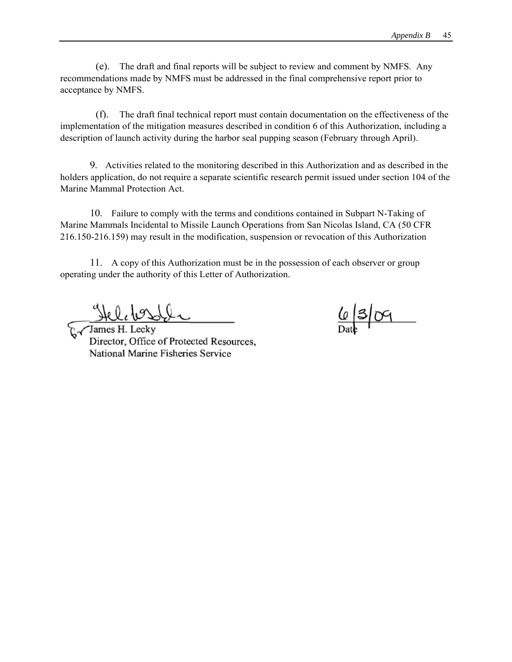(e). The draft and final reports will be subject to review and comment by NMFS. Any recommendations made by NMFS must be addressed in the final comprehensive report prior to acceptance by NMFS.

(f). The draft final technical report must contain documentation on the effectiveness of the implementation of the mitigation measures described in condition 6 of this Authorization, including a description of launch activity during the harbor seal pupping season (February through April).

9. Activities related to the monitoring described in this Authorization and as described in the holders application, do not require a separate scientific research permit issued under section 104 of the Marine Mammal Protection Act.

10. Failure to comply with the terms and conditions contained in Subpart N-Taking of Marine Mammals Incidental to Missile Launch Operations from San Nicolas Island, CA (50 CFR 216.150-216.159) may result in the modification, suspension or revocation of this Authorization

11. A copy of this Authorization must be in the possession of each observer or group operating under the authority of this Letter of Authorization.

James H. Lecky Director, Office of Protected Resources, National Marine Fisheries Service

 $\frac{6}{2}$  3 09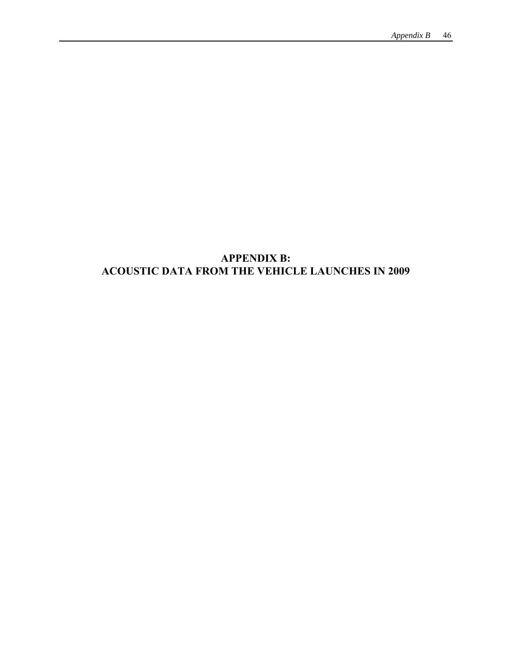## **APPENDIX B: ACOUSTIC DATA FROM THE VEHICLE LAUNCHES IN 2009**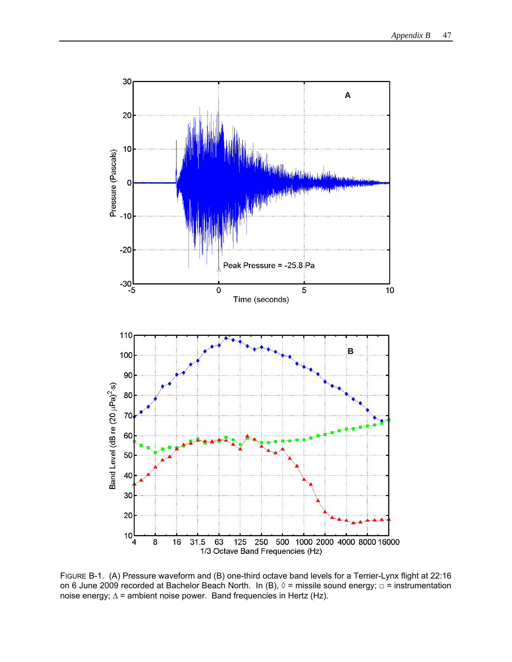

FIGURE B-1. (A) Pressure waveform and (B) one-third octave band levels for a Terrier-Lynx flight at 22:16 on 6 June 2009 recorded at Bachelor Beach North. In (B),  $\Diamond$  = missile sound energy;  $\Box$  = instrumentation noise energy;  $\Delta$  = ambient noise power. Band frequencies in Hertz (Hz).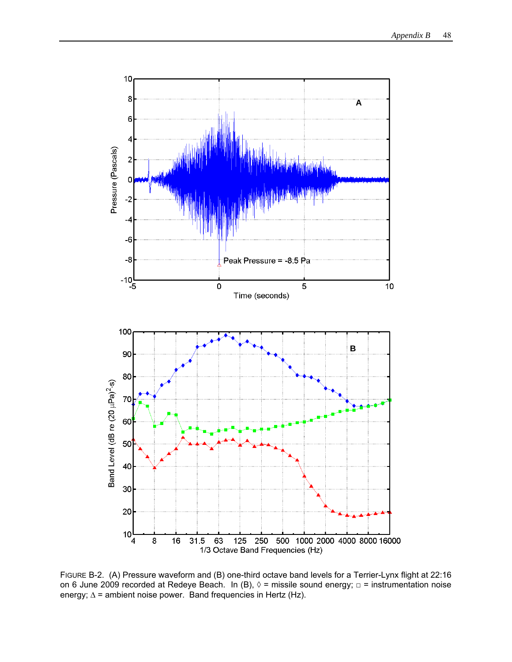

FIGURE B-2. (A) Pressure waveform and (B) one-third octave band levels for a Terrier-Lynx flight at 22:16 on 6 June 2009 recorded at Redeye Beach. In (B),  $\Diamond$  = missile sound energy;  $\Box$  = instrumentation noise energy; Δ = ambient noise power. Band frequencies in Hertz (Hz).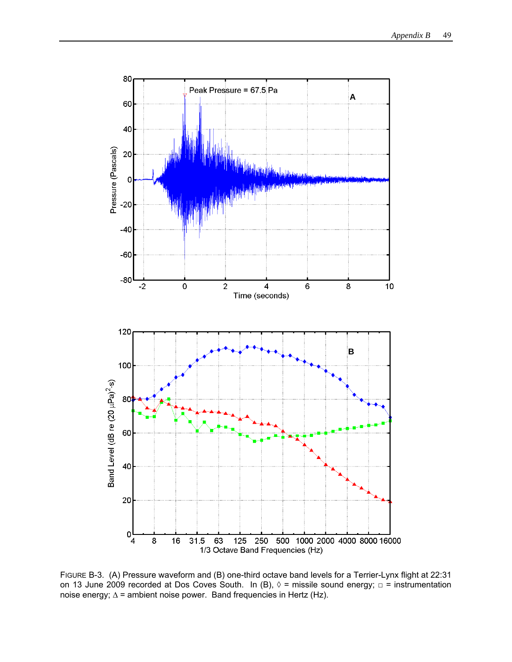

FIGURE B-3. (A) Pressure waveform and (B) one-third octave band levels for a Terrier-Lynx flight at 22:31 on 13 June 2009 recorded at Dos Coves South. In (B),  $\Diamond$  = missile sound energy;  $\Box$  = instrumentation noise energy; Δ = ambient noise power. Band frequencies in Hertz (Hz).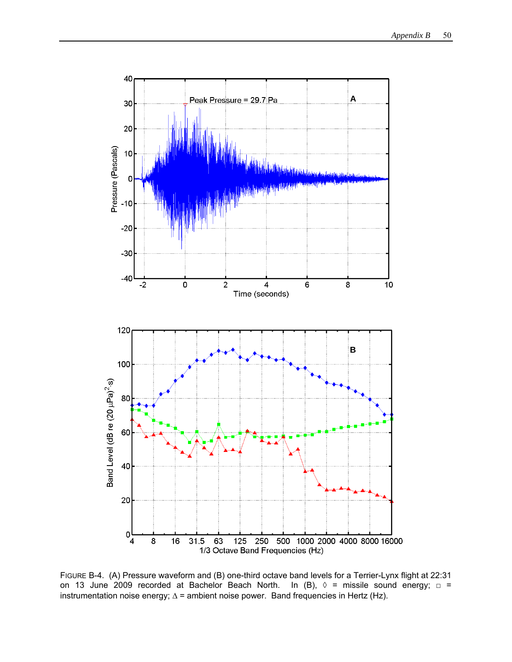

FIGURE B-4. (A) Pressure waveform and (B) one-third octave band levels for a Terrier-Lynx flight at 22:31 on 13 June 2009 recorded at Bachelor Beach North. In (B),  $\Diamond$  = missile sound energy;  $\Box$  = instrumentation noise energy;  $\Delta$  = ambient noise power. Band frequencies in Hertz (Hz).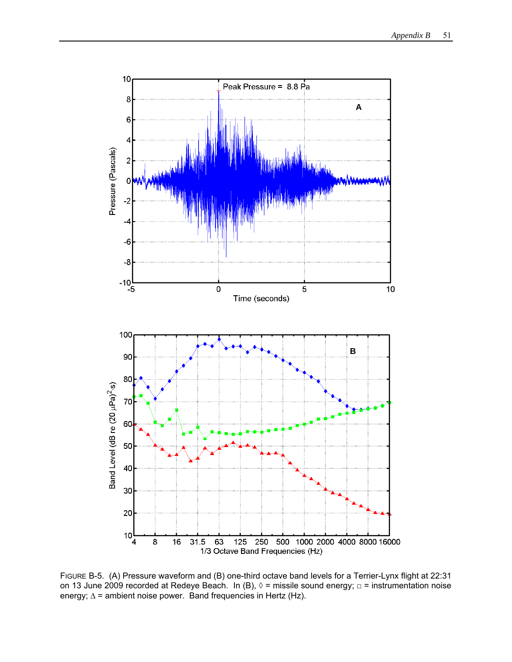

FIGURE B-5. (A) Pressure waveform and (B) one-third octave band levels for a Terrier-Lynx flight at 22:31 on 13 June 2009 recorded at Redeye Beach. In (B),  $\Diamond$  = missile sound energy;  $\Box$  = instrumentation noise energy; Δ = ambient noise power. Band frequencies in Hertz (Hz).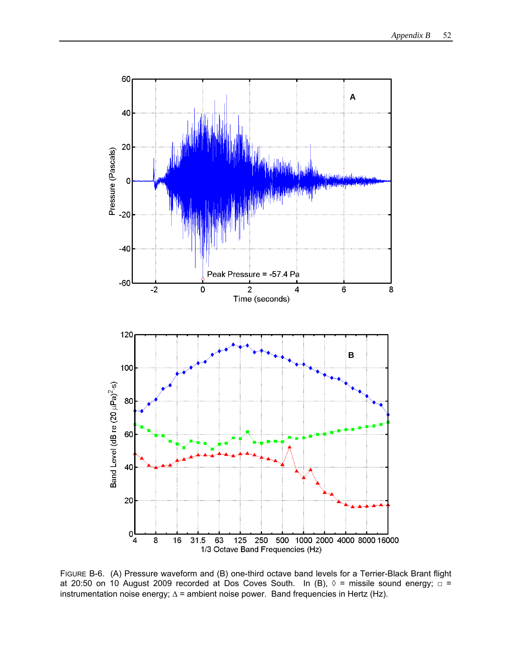

FIGURE B-6. (A) Pressure waveform and (B) one-third octave band levels for a Terrier-Black Brant flight at 20:50 on 10 August 2009 recorded at Dos Coves South. In (B),  $\Diamond$  = missile sound energy;  $\Box$  = instrumentation noise energy;  $\Delta$  = ambient noise power. Band frequencies in Hertz (Hz).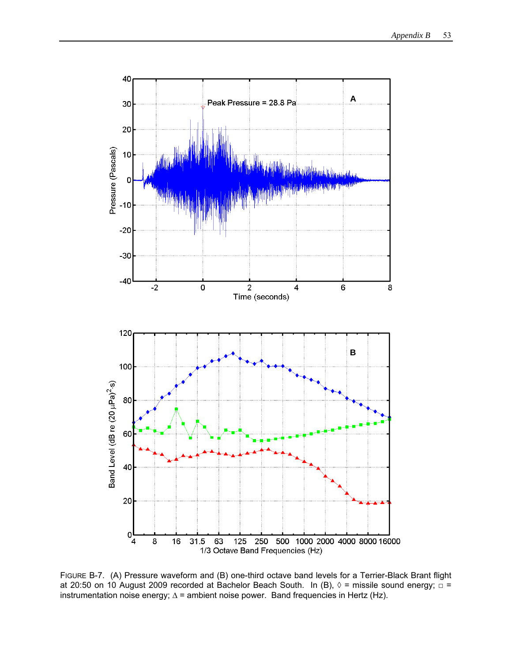

FIGURE B-7. (A) Pressure waveform and (B) one-third octave band levels for a Terrier-Black Brant flight at 20:50 on 10 August 2009 recorded at Bachelor Beach South. In (B),  $\Diamond$  = missile sound energy;  $\Box$  = instrumentation noise energy;  $\Delta$  = ambient noise power. Band frequencies in Hertz (Hz).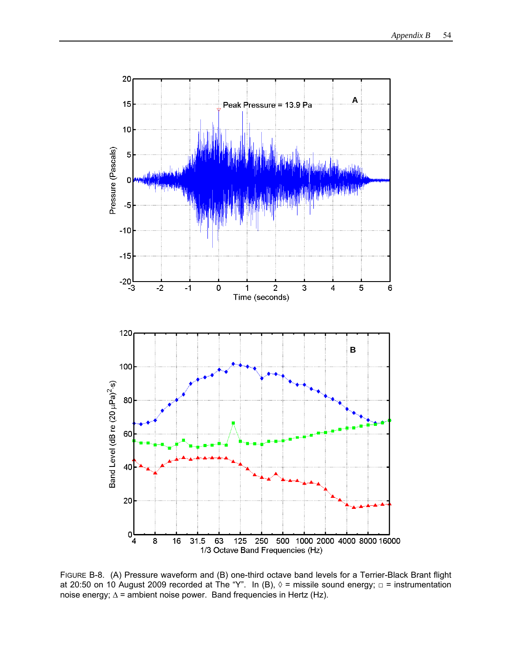

FIGURE B-8. (A) Pressure waveform and (B) one-third octave band levels for a Terrier-Black Brant flight at 20:50 on 10 August 2009 recorded at The "Y". In (B),  $\lozenge$  = missile sound energy;  $\Box$  = instrumentation noise energy; Δ = ambient noise power. Band frequencies in Hertz (Hz).